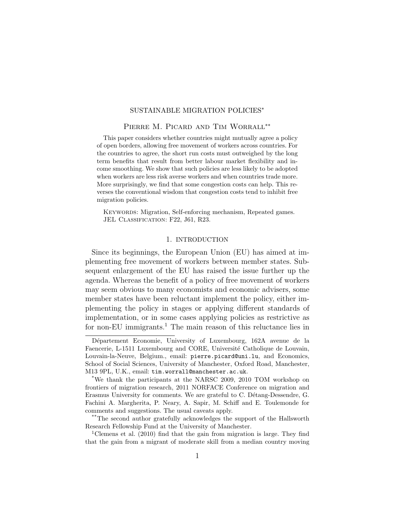## SUSTAINABLE MIGRATION POLICIES<sup>∗</sup>

### Pierre M. Picard and Tim Worrall∗∗

This paper considers whether countries might mutually agree a policy of open borders, allowing free movement of workers across countries. For the countries to agree, the short run costs must outweighed by the long term benefits that result from better labour market flexibility and income smoothing. We show that such policies are less likely to be adopted when workers are less risk averse workers and when countries trade more. More surprisingly, we find that some congestion costs can help. This reverses the conventional wisdom that congestion costs tend to inhibit free migration policies.

KEYWORDS: Migration, Self-enforcing mechanism, Repeated games. JEL CLASSIFICATION: F22, J61, R23.

## 1. INTRODUCTION

Since its beginnings, the European Union (EU) has aimed at implementing free movement of workers between member states. Subsequent enlargement of the EU has raised the issue further up the agenda. Whereas the benefit of a policy of free movement of workers may seem obvious to many economists and economic advisers, some member states have been reluctant implement the policy, either implementing the policy in stages or applying different standards of implementation, or in some cases applying policies as restrictive as for non-EU immigrants.<sup>[1](#page-0-0)</sup> The main reason of this reluctance lies in

Département Economie, University of Luxembourg, 162A avenue de la Faencerie, L-1511 Luxembourg and CORE, Université Catholique de Louvain, Louvain-la-Neuve, Belgium., email: [pierre.picard@uni.lu](mailto:pierre.picard@uni.lu), and Economics, School of Social Sciences, University of Manchester, Oxford Road, Manchester, M13 9PL, U.K., email: [tim.worrall@manchester.ac.uk](mailto:tim.worrall@manchester.ac.uk).

<sup>\*</sup>We thank the participants at the NARSC 2009, 2010 TOM workshop on frontiers of migration research, 2011 NORFACE Conference on migration and Erasmus University for comments. We are grateful to C. Détang-Dessendre, G. Fachini A. Margherita, P. Neary, A. Sapir, M. Schiff and E. Toulemonde for comments and suggestions. The usual caveats apply.

<sup>\*\*</sup>The second author gratefully acknowledges the support of the Hallsworth Research Fellowship Fund at the University of Manchester.

<span id="page-0-0"></span><sup>&</sup>lt;sup>1</sup>[Clemens et al.](#page-47-0) [\(2010\)](#page-47-0) find that the gain from migration is large. They find that the gain from a migrant of moderate skill from a median country moving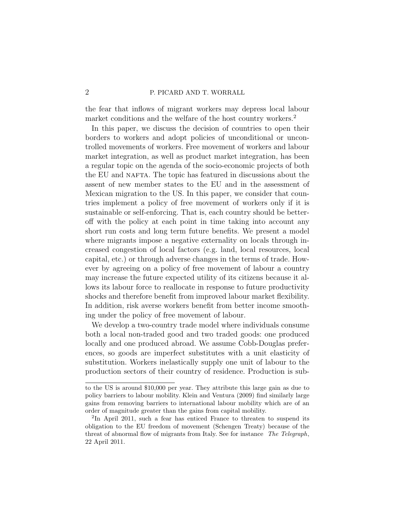the fear that inflows of migrant workers may depress local labour market conditions and the welfare of the host country workers.<sup>[2](#page-1-0)</sup>

In this paper, we discuss the decision of countries to open their borders to workers and adopt policies of unconditional or uncontrolled movements of workers. Free movement of workers and labour market integration, as well as product market integration, has been a regular topic on the agenda of the socio-economic projects of both the EU and NAFTA. The topic has featured in discussions about the assent of new member states to the EU and in the assessment of Mexican migration to the US. In this paper, we consider that countries implement a policy of free movement of workers only if it is sustainable or self-enforcing. That is, each country should be betteroff with the policy at each point in time taking into account any short run costs and long term future benefits. We present a model where migrants impose a negative externality on locals through increased congestion of local factors (e.g. land, local resources, local capital, etc.) or through adverse changes in the terms of trade. However by agreeing on a policy of free movement of labour a country may increase the future expected utility of its citizens because it allows its labour force to reallocate in response to future productivity shocks and therefore benefit from improved labour market flexibility. In addition, risk averse workers benefit from better income smoothing under the policy of free movement of labour.

We develop a two-country trade model where individuals consume both a local non-traded good and two traded goods: one produced locally and one produced abroad. We assume Cobb-Douglas preferences, so goods are imperfect substitutes with a unit elasticity of substitution. Workers inelastically supply one unit of labour to the production sectors of their country of residence. Production is sub-

to the US is around \$10,000 per year. They attribute this large gain as due to policy barriers to labour mobility. [Klein and Ventura](#page-48-0) [\(2009\)](#page-48-0) find similarly large gains from removing barriers to international labour mobility which are of an order of magnitude greater than the gains from capital mobility.

<span id="page-1-0"></span><sup>&</sup>lt;sup>2</sup>In April 2011, such a fear has enticed France to threaten to suspend its obligation to the EU freedom of movement (Schengen Treaty) because of the threat of abnormal flow of migrants from Italy. See for instance The Telegraph, 22 April 2011.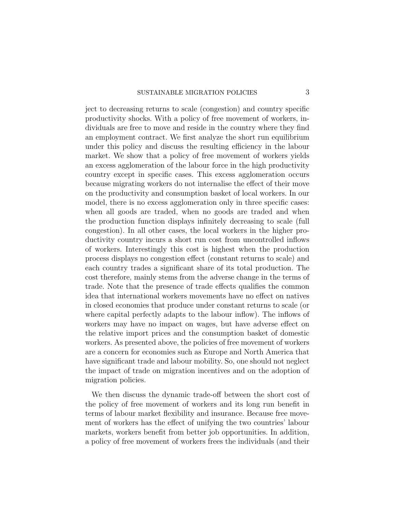## SUSTAINABLE MIGRATION POLICIES 3

ject to decreasing returns to scale (congestion) and country specific productivity shocks. With a policy of free movement of workers, individuals are free to move and reside in the country where they find an employment contract. We first analyze the short run equilibrium under this policy and discuss the resulting efficiency in the labour market. We show that a policy of free movement of workers yields an excess agglomeration of the labour force in the high productivity country except in specific cases. This excess agglomeration occurs because migrating workers do not internalise the effect of their move on the productivity and consumption basket of local workers. In our model, there is no excess agglomeration only in three specific cases: when all goods are traded, when no goods are traded and when the production function displays infinitely decreasing to scale (full congestion). In all other cases, the local workers in the higher productivity country incurs a short run cost from uncontrolled inflows of workers. Interestingly this cost is highest when the production process displays no congestion effect (constant returns to scale) and each country trades a significant share of its total production. The cost therefore, mainly stems from the adverse change in the terms of trade. Note that the presence of trade effects qualifies the common idea that international workers movements have no effect on natives in closed economies that produce under constant returns to scale (or where capital perfectly adapts to the labour inflow). The inflows of workers may have no impact on wages, but have adverse effect on the relative import prices and the consumption basket of domestic workers. As presented above, the policies of free movement of workers are a concern for economies such as Europe and North America that have significant trade and labour mobility. So, one should not neglect the impact of trade on migration incentives and on the adoption of migration policies.

We then discuss the dynamic trade-off between the short cost of the policy of free movement of workers and its long run benefit in terms of labour market flexibility and insurance. Because free movement of workers has the effect of unifying the two countries' labour markets, workers benefit from better job opportunities. In addition, a policy of free movement of workers frees the individuals (and their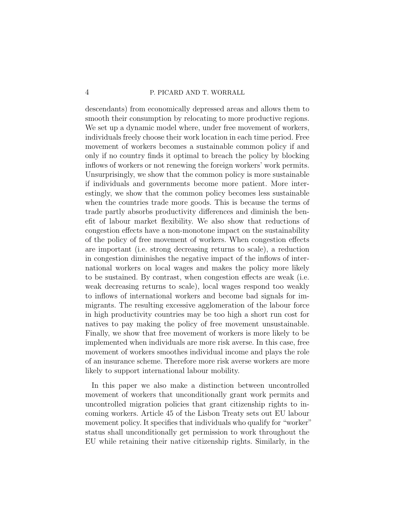descendants) from economically depressed areas and allows them to smooth their consumption by relocating to more productive regions. We set up a dynamic model where, under free movement of workers, individuals freely choose their work location in each time period. Free movement of workers becomes a sustainable common policy if and only if no country finds it optimal to breach the policy by blocking inflows of workers or not renewing the foreign workers' work permits. Unsurprisingly, we show that the common policy is more sustainable if individuals and governments become more patient. More interestingly, we show that the common policy becomes less sustainable when the countries trade more goods. This is because the terms of trade partly absorbs productivity differences and diminish the benefit of labour market flexibility. We also show that reductions of congestion effects have a non-monotone impact on the sustainability of the policy of free movement of workers. When congestion effects are important (i.e. strong decreasing returns to scale), a reduction in congestion diminishes the negative impact of the inflows of international workers on local wages and makes the policy more likely to be sustained. By contrast, when congestion effects are weak (i.e. weak decreasing returns to scale), local wages respond too weakly to inflows of international workers and become bad signals for immigrants. The resulting excessive agglomeration of the labour force in high productivity countries may be too high a short run cost for natives to pay making the policy of free movement unsustainable. Finally, we show that free movement of workers is more likely to be implemented when individuals are more risk averse. In this case, free movement of workers smoothes individual income and plays the role of an insurance scheme. Therefore more risk averse workers are more likely to support international labour mobility.

In this paper we also make a distinction between uncontrolled movement of workers that unconditionally grant work permits and uncontrolled migration policies that grant citizenship rights to incoming workers. Article 45 of the Lisbon Treaty sets out EU labour movement policy. It specifies that individuals who qualify for "worker" status shall unconditionally get permission to work throughout the EU while retaining their native citizenship rights. Similarly, in the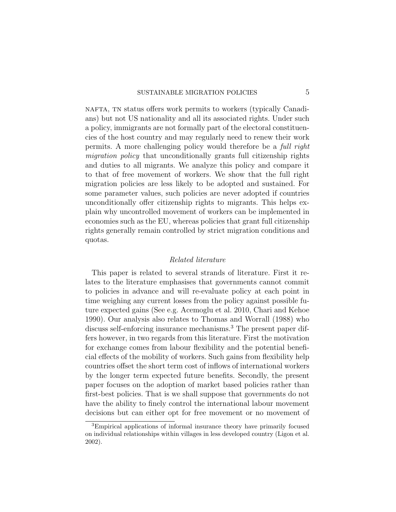nafta, tn status offers work permits to workers (typically Canadians) but not US nationality and all its associated rights. Under such a policy, immigrants are not formally part of the electoral constituencies of the host country and may regularly need to renew their work permits. A more challenging policy would therefore be a full right migration policy that unconditionally grants full citizenship rights and duties to all migrants. We analyze this policy and compare it to that of free movement of workers. We show that the full right migration policies are less likely to be adopted and sustained. For some parameter values, such policies are never adopted if countries unconditionally offer citizenship rights to migrants. This helps explain why uncontrolled movement of workers can be implemented in economies such as the EU, whereas policies that grant full citizenship rights generally remain controlled by strict migration conditions and quotas.

# Related literature

This paper is related to several strands of literature. First it relates to the literature emphasises that governments cannot commit to policies in advance and will re-evaluate policy at each point in time weighing any current losses from the policy against possible future expected gains (See e.g. [Acemoglu et al.](#page-47-1) [2010,](#page-47-1) [Chari and Kehoe](#page-47-2) [1990\)](#page-47-2). Our analysis also relates to [Thomas and Worrall](#page-48-1) [\(1988\)](#page-48-1) who discuss self-enforcing insurance mechanisms.<sup>[3](#page-4-0)</sup> The present paper differs however, in two regards from this literature. First the motivation for exchange comes from labour flexibility and the potential beneficial effects of the mobility of workers. Such gains from flexibility help countries offset the short term cost of inflows of international workers by the longer term expected future benefits. Secondly, the present paper focuses on the adoption of market based policies rather than first-best policies. That is we shall suppose that governments do not have the ability to finely control the international labour movement decisions but can either opt for free movement or no movement of

<span id="page-4-0"></span><sup>3</sup>Empirical applications of informal insurance theory have primarily focused on individual relationships within villages in less developed country [\(Ligon et al.](#page-48-2) [2002\)](#page-48-2).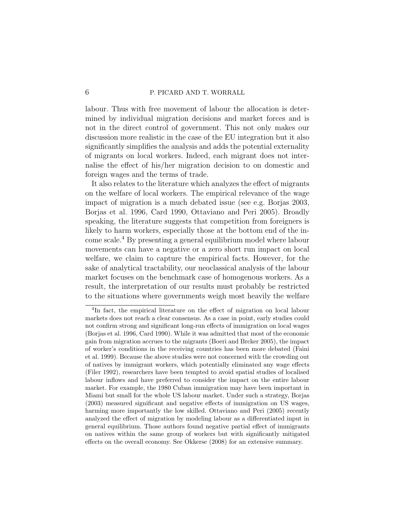labour. Thus with free movement of labour the allocation is determined by individual migration decisions and market forces and is not in the direct control of government. This not only makes our discussion more realistic in the case of the EU integration but it also significantly simplifies the analysis and adds the potential externality of migrants on local workers. Indeed, each migrant does not internalise the effect of his/her migration decision to on domestic and foreign wages and the terms of trade.

It also relates to the literature which analyzes the effect of migrants on the welfare of local workers. The empirical relevance of the wage impact of migration is a much debated issue (see e.g. [Borjas](#page-47-3) [2003,](#page-47-3) [Borjas et al.](#page-47-4) [1996,](#page-47-4) [Card](#page-47-5) [1990,](#page-47-5) [Ottaviano and Peri](#page-48-3) [2005\)](#page-48-3). Broadly speaking, the literature suggests that competition from foreigners is likely to harm workers, especially those at the bottom end of the income scale.[4](#page-5-0) By presenting a general equilibrium model where labour movements can have a negative or a zero short run impact on local welfare, we claim to capture the empirical facts. However, for the sake of analytical tractability, our neoclassical analysis of the labour market focuses on the benchmark case of homogenous workers. As a result, the interpretation of our results must probably be restricted to the situations where governments weigh most heavily the welfare

<span id="page-5-0"></span><sup>4</sup> In fact, the empirical literature on the effect of migration on local labour markets does not reach a clear consensus. As a case in point, early studies could not confirm strong and significant long-run effects of immigration on local wages [\(Borjas et al.](#page-47-4) [1996,](#page-47-4) [Card](#page-47-5) [1990\)](#page-47-5). While it was admitted that most of the economic gain from migration accrues to the migrants [\(Boeri and Brcker](#page-47-6) [2005\)](#page-47-6), the impact of worker's conditions in the receiving countries has been more debated [\(Faini](#page-47-7) [et al.](#page-47-7) [1999\)](#page-47-7). Because the above studies were not concerned with the crowding out of natives by immigrant workers, which potentially eliminated any wage effects [\(Filer](#page-47-8) [1992\)](#page-47-8), researchers have been tempted to avoid spatial studies of localised labour inflows and have preferred to consider the impact on the entire labour market. For example, the 1980 Cuban immigration may have been important in Miami but small for the whole US labour market. Under such a strategy, [Borjas](#page-47-3) [\(2003\)](#page-47-3) measured significant and negative effects of immigration on US wages, harming more importantly the low skilled. [Ottaviano and Peri](#page-48-3) [\(2005\)](#page-48-3) recently analyzed the effect of migration by modeling labour as a differentiated input in general equilibrium. Those authors found negative partial effect of immigrants on natives within the same group of workers but with significantly mitigated effects on the overall economy. See [Okkerse](#page-48-4) [\(2008\)](#page-48-4) for an extensive summary.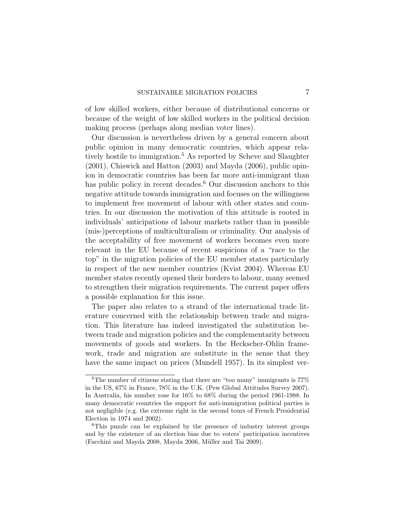of low skilled workers, either because of distributional concerns or because of the weight of low skilled workers in the political decision making process (perhaps along median voter lines).

Our discussion is nevertheless driven by a general concern about public opinion in many democratic countries, which appear rela-tively hostile to immigration.<sup>[5](#page-6-0)</sup> As reported by [Scheve and Slaughter](#page-48-5) [\(2001\)](#page-48-5), [Chiswick and Hatton](#page-47-9) [\(2003\)](#page-47-9) and [Mayda](#page-48-6) [\(2006\)](#page-48-6), public opinion in democratic countries has been far more anti-immigrant than has public policy in recent decades.<sup>[6](#page-6-1)</sup> Our discussion anchors to this negative attitude towards immigration and focuses on the willingness to implement free movement of labour with other states and countries. In our discussion the motivation of this attitude is rooted in individuals' anticipations of labour markets rather than in possible (mis-)perceptions of multiculturalism or criminality. Our analysis of the acceptability of free movement of workers becomes even more relevant in the EU because of recent suspicions of a "race to the top" in the migration policies of the EU member states particularly in respect of the new member countries [\(Kvist](#page-48-7) [2004\)](#page-48-7). Whereas EU member states recently opened their borders to labour, many seemed to strengthen their migration requirements. The current paper offers a possible explanation for this issue.

The paper also relates to a strand of the international trade literature concerned with the relationship between trade and migration. This literature has indeed investigated the substitution between trade and migration policies and the complementarity between movements of goods and workers. In the Heckscher-Ohlin framework, trade and migration are substitute in the sense that they have the same impact on prices [\(Mundell](#page-48-8) [1957\)](#page-48-8). In its simplest ver-

<span id="page-6-0"></span><sup>&</sup>lt;sup>5</sup>The number of citizens stating that there are "too many" immigrants is  $77\%$ in the US, 67% in France, 78% in the U.K. [\(Pew Global Attitudes Survey](#page-48-9) [2007\)](#page-48-9). In Australia, his number rose for 16% to 68% during the period 1961-1988. In many democratic countries the support for anti-immigration political parties is not negligible (e.g. the extreme right in the second tours of French Presidential Election in 1974 and 2002).

<span id="page-6-1"></span><sup>6</sup>This puzzle can be explained by the presence of industry interest groups and by the existence of an election bias due to voters' participation incentives [\(Facchini and Mayda](#page-47-10) [2008,](#page-47-10) [Mayda](#page-48-6) [2006,](#page-48-6) Müller and Tai [2009\)](#page-48-10).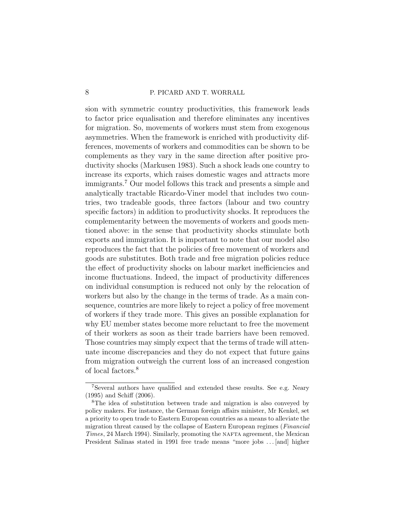sion with symmetric country productivities, this framework leads to factor price equalisation and therefore eliminates any incentives for migration. So, movements of workers must stem from exogenous asymmetries. When the framework is enriched with productivity differences, movements of workers and commodities can be shown to be complements as they vary in the same direction after positive productivity shocks [\(Markusen](#page-48-11) [1983\)](#page-48-11). Such a shock leads one country to increase its exports, which raises domestic wages and attracts more immigrants.[7](#page-7-0) Our model follows this track and presents a simple and analytically tractable Ricardo-Viner model that includes two countries, two tradeable goods, three factors (labour and two country specific factors) in addition to productivity shocks. It reproduces the complementarity between the movements of workers and goods mentioned above: in the sense that productivity shocks stimulate both exports and immigration. It is important to note that our model also reproduces the fact that the policies of free movement of workers and goods are substitutes. Both trade and free migration policies reduce the effect of productivity shocks on labour market inefficiencies and income fluctuations. Indeed, the impact of productivity differences on individual consumption is reduced not only by the relocation of workers but also by the change in the terms of trade. As a main consequence, countries are more likely to reject a policy of free movement of workers if they trade more. This gives an possible explanation for why EU member states become more reluctant to free the movement of their workers as soon as their trade barriers have been removed. Those countries may simply expect that the terms of trade will attenuate income discrepancies and they do not expect that future gains from migration outweigh the current loss of an increased congestion of local factors.[8](#page-7-1)

<span id="page-7-0"></span><sup>7</sup>Several authors have qualified and extended these results. See e.g. [Neary](#page-48-12) [\(1995\)](#page-48-12) and [Schiff](#page-48-13) [\(2006\)](#page-48-13).

<span id="page-7-1"></span><sup>8</sup>The idea of substitution between trade and migration is also conveyed by policy makers. For instance, the German foreign affairs minister, Mr Kenkel, set a priority to open trade to Eastern European countries as a means to alleviate the migration threat caused by the collapse of Eastern European regimes [\(](#page-48-14)Financial Times, 24 March 1994). Similarly, promoting the NAFTA agreement, the Mexican President Salinas stated in 1991 free trade means "more jobs . . . [and] higher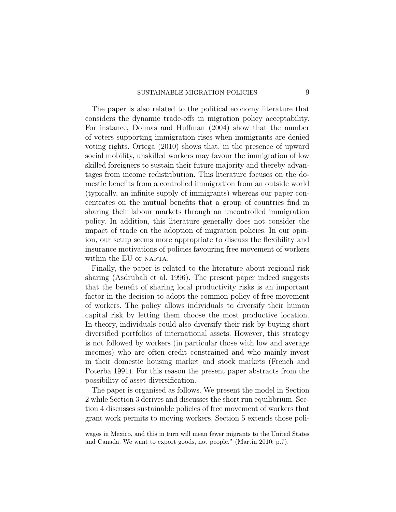The paper is also related to the political economy literature that considers the dynamic trade-offs in migration policy acceptability. For instance, [Dolmas and Huffman](#page-47-11) [\(2004\)](#page-47-11) show that the number of voters supporting immigration rises when immigrants are denied voting rights. [Ortega](#page-48-15) [\(2010\)](#page-48-15) shows that, in the presence of upward social mobility, unskilled workers may favour the immigration of low skilled foreigners to sustain their future majority and thereby advantages from income redistribution. This literature focuses on the domestic benefits from a controlled immigration from an outside world (typically, an infinite supply of immigrants) whereas our paper concentrates on the mutual benefits that a group of countries find in sharing their labour markets through an uncontrolled immigration policy. In addition, this literature generally does not consider the impact of trade on the adoption of migration policies. In our opinion, our setup seems more appropriate to discuss the flexibility and insurance motivations of policies favouring free movement of workers within the EU or NAFTA.

Finally, the paper is related to the literature about regional risk sharing [\(Asdrubali et al.](#page-47-12) [1996\)](#page-47-12). The present paper indeed suggests that the benefit of sharing local productivity risks is an important factor in the decision to adopt the common policy of free movement of workers. The policy allows individuals to diversify their human capital risk by letting them choose the most productive location. In theory, individuals could also diversify their risk by buying short diversified portfolios of international assets. However, this strategy is not followed by workers (in particular those with low and average incomes) who are often credit constrained and who mainly invest in their domestic housing market and stock markets [\(French and](#page-47-13) [Poterba](#page-47-13) [1991\)](#page-47-13). For this reason the present paper abstracts from the possibility of asset diversification.

The paper is organised as follows. We present the model in Section 2 while Section 3 derives and discusses the short run equilibrium. Section 4 discusses sustainable policies of free movement of workers that grant work permits to moving workers. Section 5 extends those poli-

wages in Mexico, and this in turn will mean fewer migrants to the United States and Canada. We want to export goods, not people." [\(Martin](#page-48-16) [2010;](#page-48-16) p.7).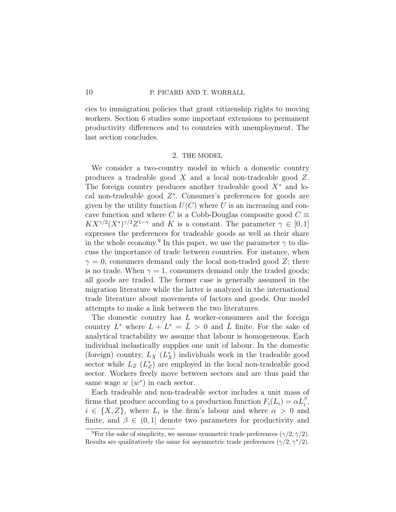cies to immigration policies that grant citizenship rights to moving workers. Section 6 studies some important extensions to permanent productivity differences and to countries with unemployment. The last section concludes.

## 2. THE MODEL

We consider a two-country model in which a domestic country produces a tradeable good X and a local non-tradeable good Z. The foreign country produces another tradeable good  $X^*$  and local non-tradeable good  $Z^*$ . Consumer's preferences for goods are given by the utility function  $U(C)$  where U is an increasing and concave function and where C is a Cobb-Douglas composite good  $C \equiv$  $K X^{\gamma/2} (X^*)^{\gamma/2} Z^{1-\gamma}$  and K is a constant. The parameter  $\gamma \in [0,1]$ expresses the preferences for tradeable goods as well as their share in the whole economy.<sup>[9](#page-9-0)</sup> In this paper, we use the parameter  $\gamma$  to discuss the importance of trade between countries. For instance, when  $\gamma = 0$ , consumers demand only the local non-traded good Z; there is no trade. When  $\gamma = 1$ , consumers demand only the traded goods; all goods are traded. The former case is generally assumed in the migration literature while the latter is analyzed in the international trade literature about movements of factors and goods. Our model attempts to make a link between the two literatures.

The domestic country has L worker-consumers and the foreign country  $L^*$  where  $L + L^* = \bar{L} > 0$  and  $\bar{L}$  finite. For the sake of analytical tractability we assume that labour is homogeneous. Each individual inelastically supplies one unit of labour. In the domestic (foreign) country,  $L_X(L_X^*)$  individuals work in the tradeable good sector while  $L_z(L^*_z)$  are employed in the local non-tradeable good sector. Workers freely move between sectors and are thus paid the same wage  $w(w^*)$  in each sector.

Each tradeable and non-tradeable sector includes a unit mass of firms that produce according to a production function  $F_i(L_i) = \alpha L_i^{\beta}$ ,  $i \in \{X, Z\}$ , where  $L_i$  is the firm's labour and where  $\alpha > 0$  and finite, and  $\beta \in (0,1]$  denote two parameters for productivity and

<span id="page-9-0"></span><sup>&</sup>lt;sup>9</sup>For the sake of simplicity, we assume symmetric trade preferences  $(\gamma/2, \gamma/2)$ . Results are qualitatively the same for asymmetric trade preferences  $(\gamma/2, \gamma^*/2)$ .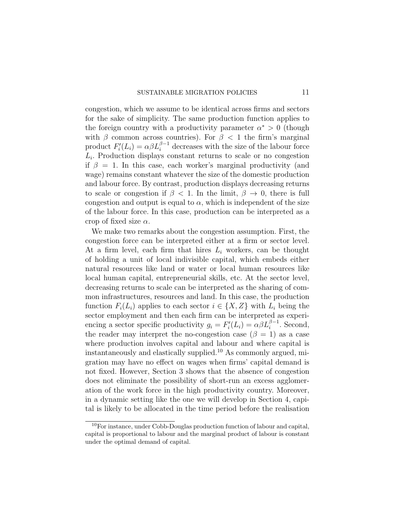congestion, which we assume to be identical across firms and sectors for the sake of simplicity. The same production function applies to the foreign country with a productivity parameter  $\alpha^* > 0$  (though with  $\beta$  common across countries). For  $\beta$  < 1 the firm's marginal product  $F_i'(L_i) = \alpha \beta L_i^{\beta - 1}$  decreases with the size of the labour force  $L_i$ . Production displays constant returns to scale or no congestion if  $\beta = 1$ . In this case, each worker's marginal productivity (and wage) remains constant whatever the size of the domestic production and labour force. By contrast, production displays decreasing returns to scale or congestion if  $\beta$  < 1. In the limit,  $\beta \rightarrow 0$ , there is full congestion and output is equal to  $\alpha$ , which is independent of the size of the labour force. In this case, production can be interpreted as a crop of fixed size  $\alpha$ .

We make two remarks about the congestion assumption. First, the congestion force can be interpreted either at a firm or sector level. At a firm level, each firm that hires  $L_i$  workers, can be thought of holding a unit of local indivisible capital, which embeds either natural resources like land or water or local human resources like local human capital, entrepreneurial skills, etc. At the sector level, decreasing returns to scale can be interpreted as the sharing of common infrastructures, resources and land. In this case, the production function  $F_i(L_i)$  applies to each sector  $i \in \{X, Z\}$  with  $L_i$  being the sector employment and then each firm can be interpreted as experiencing a sector specific productivity  $g_i = F_i'(L_i) = \alpha \beta L_i^{\beta - 1}$ . Second, the reader may interpret the no-congestion case  $(\beta = 1)$  as a case where production involves capital and labour and where capital is instantaneously and elastically supplied.[10](#page-10-0) As commonly argued, migration may have no effect on wages when firms' capital demand is not fixed. However, Section 3 shows that the absence of congestion does not eliminate the possibility of short-run an excess agglomeration of the work force in the high productivity country. Moreover, in a dynamic setting like the one we will develop in Section 4, capital is likely to be allocated in the time period before the realisation

<span id="page-10-0"></span><sup>10</sup>For instance, under Cobb-Douglas production function of labour and capital, capital is proportional to labour and the marginal product of labour is constant under the optimal demand of capital.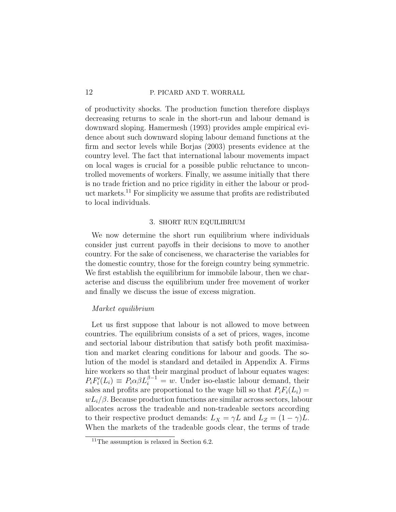of productivity shocks. The production function therefore displays decreasing returns to scale in the short-run and labour demand is downward sloping. [Hamermesh](#page-47-14) [\(1993\)](#page-47-14) provides ample empirical evidence about such downward sloping labour demand functions at the firm and sector levels while [Borjas](#page-47-3) [\(2003\)](#page-47-3) presents evidence at the country level. The fact that international labour movements impact on local wages is crucial for a possible public reluctance to uncontrolled movements of workers. Finally, we assume initially that there is no trade friction and no price rigidity in either the labour or product markets.[11](#page-11-0) For simplicity we assume that profits are redistributed to local individuals.

## 3. SHORT RUN EQUILIBRIUM

We now determine the short run equilibrium where individuals consider just current payoffs in their decisions to move to another country. For the sake of conciseness, we characterise the variables for the domestic country, those for the foreign country being symmetric. We first establish the equilibrium for immobile labour, then we characterise and discuss the equilibrium under free movement of worker and finally we discuss the issue of excess migration.

## Market equilibrium

Let us first suppose that labour is not allowed to move between countries. The equilibrium consists of a set of prices, wages, income and sectorial labour distribution that satisfy both profit maximisation and market clearing conditions for labour and goods. The solution of the model is standard and detailed in Appendix [A.](#page-49-0) Firms hire workers so that their marginal product of labour equates wages:  $P_i F_i'(L_i) \equiv P_i \alpha \beta L_i^{\beta - 1} = w$ . Under iso-elastic labour demand, their sales and profits are proportional to the wage bill so that  $P_iF_i(L_i) =$  $wL_i/\beta$ . Because production functions are similar across sectors, labour allocates across the tradeable and non-tradeable sectors according to their respective product demands:  $L_X = \gamma L$  and  $L_Z = (1 - \gamma)L$ . When the markets of the tradeable goods clear, the terms of trade

<span id="page-11-0"></span><sup>&</sup>lt;sup>11</sup>The assumption is relaxed in Section  $6.2$ .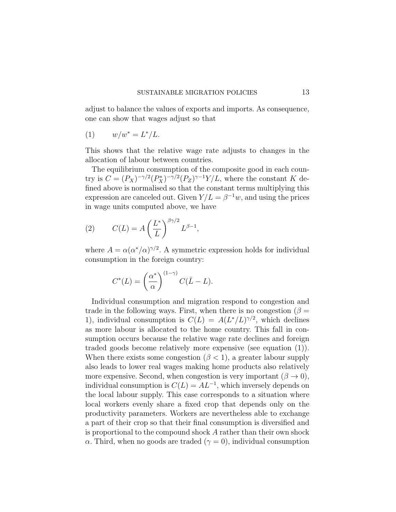<span id="page-12-0"></span>adjust to balance the values of exports and imports. As consequence, one can show that wages adjust so that

$$
(1) \qquad w/w^* = L^*/L.
$$

This shows that the relative wage rate adjusts to changes in the allocation of labour between countries.

The equilibrium consumption of the composite good in each country is  $C = (P_X)^{-\gamma/2} (P_X^*)^{-\gamma/2} (P_Z)^{\gamma-1} Y/L$ , where the constant K defined above is normalised so that the constant terms multiplying this expression are canceled out. Given  $Y/L = \beta^{-1}w$ , and using the prices in wage units computed above, we have

(2) 
$$
C(L) = A \left(\frac{L^*}{L}\right)^{\beta \gamma/2} L^{\beta - 1},
$$

where  $A = \alpha(\alpha^*/\alpha)^{\gamma/2}$ . A symmetric expression holds for individual consumption in the foreign country:

<span id="page-12-1"></span>
$$
C^*(L) = \left(\frac{\alpha^*}{\alpha}\right)^{(1-\gamma)} C(\bar{L} - L).
$$

Individual consumption and migration respond to congestion and trade in the following ways. First, when there is no congestion ( $\beta =$ 1), individual consumption is  $C(L) = A(L^*/L)^{\gamma/2}$ , which declines as more labour is allocated to the home country. This fall in consumption occurs because the relative wage rate declines and foreign traded goods become relatively more expensive (see equation [\(1\)](#page-12-0)). When there exists some congestion ( $\beta$  < 1), a greater labour supply also leads to lower real wages making home products also relatively more expensive. Second, when congestion is very important  $(\beta \to 0)$ , individual consumption is  $C(L) = AL^{-1}$ , which inversely depends on the local labour supply. This case corresponds to a situation where local workers evenly share a fixed crop that depends only on the productivity parameters. Workers are nevertheless able to exchange a part of their crop so that their final consumption is diversified and is proportional to the compound shock A rather than their own shock α. Third, when no goods are traded  $(γ = 0)$ , individual consumption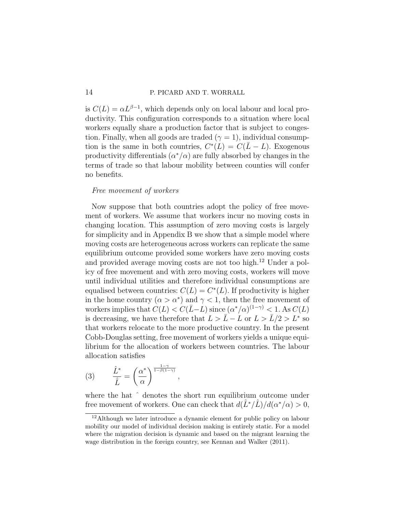is  $C(L) = \alpha L^{\beta - 1}$ , which depends only on local labour and local productivity. This configuration corresponds to a situation where local workers equally share a production factor that is subject to congestion. Finally, when all goods are traded ( $\gamma = 1$ ), individual consumption is the same in both countries,  $C^*(L) = C(\bar{L} - L)$ . Exogenous productivity differentials  $(\alpha^*/\alpha)$  are fully absorbed by changes in the terms of trade so that labour mobility between counties will confer no benefits.

## Free movement of workers

Now suppose that both countries adopt the policy of free movement of workers. We assume that workers incur no moving costs in changing location. This assumption of zero moving costs is largely for simplicity and in Appendix [B](#page-49-1) we show that a simple model where moving costs are heterogeneous across workers can replicate the same equilibrium outcome provided some workers have zero moving costs and provided average moving costs are not too high.<sup>[12](#page-13-0)</sup> Under a policy of free movement and with zero moving costs, workers will move until individual utilities and therefore individual consumptions are equalised between countries:  $C(L) = C^{*}(L)$ . If productivity is higher in the home country  $(\alpha > \alpha^*)$  and  $\gamma < 1$ , then the free movement of workers implies that  $C(L) < C(\bar{L}-L)$  since  $(\alpha^*/\alpha)^{(1-\gamma)} < 1$ . As  $C(L)$ is decreasing, we have therefore that  $L > \bar{L} - L$  or  $L > \bar{L}/2 > L^*$  so that workers relocate to the more productive country. In the present Cobb-Douglas setting, free movement of workers yields a unique equilibrium for the allocation of workers between countries. The labour allocation satisfies

$$
(3) \qquad \frac{\hat{L}^*}{\hat{L}} = \left(\frac{\alpha^*}{\alpha}\right)^{\frac{1-\gamma}{1-\beta(1-\gamma)}}
$$

where the hat  $\hat{ }$  denotes the short run equilibrium outcome under free movement of workers. One can check that  $d(\hat{L}^*/\hat{L})/d(\alpha^*/\alpha) > 0$ ,

<span id="page-13-1"></span>,

<span id="page-13-0"></span><sup>&</sup>lt;sup>12</sup>Although we later introduce a dynamic element for public policy on labour mobility our model of individual decision making is entirely static. For a model where the migration decision is dynamic and based on the migrant learning the wage distribution in the foreign country, see [Kennan and Walker](#page-48-17) [\(2011\)](#page-48-17).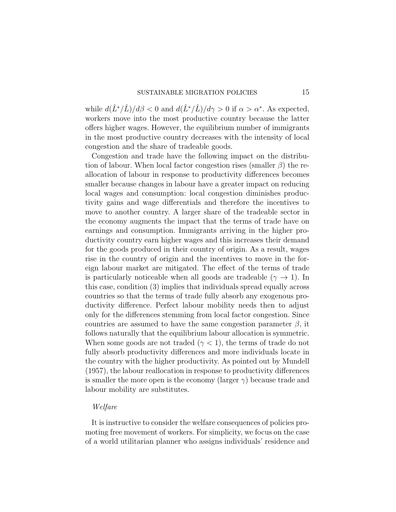while  $d(\hat{L}^*/\hat{L})/d\beta < 0$  and  $d(\hat{L}^*/\hat{L})/d\gamma > 0$  if  $\alpha > \alpha^*$ . As expected, workers move into the most productive country because the latter offers higher wages. However, the equilibrium number of immigrants in the most productive country decreases with the intensity of local congestion and the share of tradeable goods.

Congestion and trade have the following impact on the distribution of labour. When local factor congestion rises (smaller  $\beta$ ) the reallocation of labour in response to productivity differences becomes smaller because changes in labour have a greater impact on reducing local wages and consumption: local congestion diminishes productivity gains and wage differentials and therefore the incentives to move to another country. A larger share of the tradeable sector in the economy augments the impact that the terms of trade have on earnings and consumption. Immigrants arriving in the higher productivity country earn higher wages and this increases their demand for the goods produced in their country of origin. As a result, wages rise in the country of origin and the incentives to move in the foreign labour market are mitigated. The effect of the terms of trade is particularly noticeable when all goods are tradeable ( $\gamma \rightarrow 1$ ). In this case, condition [\(3\)](#page-13-1) implies that individuals spread equally across countries so that the terms of trade fully absorb any exogenous productivity difference. Perfect labour mobility needs then to adjust only for the differences stemming from local factor congestion. Since countries are assumed to have the same congestion parameter  $\beta$ , it follows naturally that the equilibrium labour allocation is symmetric. When some goods are not traded ( $\gamma$  < 1), the terms of trade do not fully absorb productivity differences and more individuals locate in the country with the higher productivity. As pointed out by [Mundell](#page-48-8) [\(1957\)](#page-48-8), the labour reallocation in response to productivity differences is smaller the more open is the economy (larger  $\gamma$ ) because trade and labour mobility are substitutes.

## Welfare

It is instructive to consider the welfare consequences of policies promoting free movement of workers. For simplicity, we focus on the case of a world utilitarian planner who assigns individuals' residence and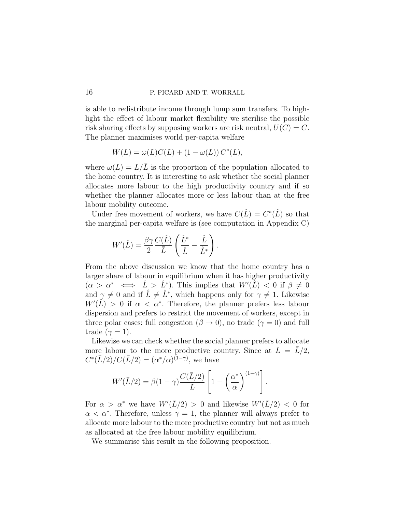is able to redistribute income through lump sum transfers. To highlight the effect of labour market flexibility we sterilise the possible risk sharing effects by supposing workers are risk neutral,  $U(C) = C$ . The planner maximises world per-capita welfare

$$
W(L) = \omega(L)C(L) + (1 - \omega(L)) C^*(L),
$$

where  $\omega(L) = L/\overline{L}$  is the proportion of the population allocated to the home country. It is interesting to ask whether the social planner allocates more labour to the high productivity country and if so whether the planner allocates more or less labour than at the free labour mobility outcome.

Under free movement of workers, we have  $C(\hat{L}) = C^*(\hat{L})$  so that the marginal per-capita welfare is (see computation in Appendix [C\)](#page-50-0)

$$
W'(\hat{L}) = \frac{\beta \gamma}{2} \frac{C(\hat{L})}{\bar{L}} \left( \frac{\hat{L}^*}{\hat{L}} - \frac{\hat{L}}{\hat{L}^*} \right).
$$

From the above discussion we know that the home country has a larger share of labour in equilibrium when it has higher productivity  $(\alpha > \alpha^* \iff \hat{L} > \hat{L}^*)$ . This implies that  $W'(\tilde{L}) < 0$  if  $\beta \neq 0$ and  $\gamma \neq 0$  and if  $\hat{L} \neq \hat{L}^*$ , which happens only for  $\gamma \neq 1$ . Likewise  $W'(\hat{L}) > 0$  if  $\alpha < \alpha^*$ . Therefore, the planner prefers less labour dispersion and prefers to restrict the movement of workers, except in three polar cases: full congestion  $(\beta \to 0)$ , no trade  $(\gamma = 0)$  and full trade ( $\gamma = 1$ ).

Likewise we can check whether the social planner prefers to allocate more labour to the more productive country. Since at  $L = \overline{L}/2$ ,  $C^*(\bar{L}/2)/C(\bar{L}/2) = (\alpha^*/\alpha)^{(1-\gamma)}$ , we have

.

$$
W'(\bar{L}/2) = \beta(1-\gamma)\frac{C(\bar{L}/2)}{\bar{L}}\left[1-\left(\frac{\alpha^*}{\alpha}\right)^{(1-\gamma)}\right]
$$

For  $\alpha > \alpha^*$  we have  $W'(\bar{L}/2) > 0$  and likewise  $W'(\bar{L}/2) < 0$  for  $\alpha < \alpha^*$ . Therefore, unless  $\gamma = 1$ , the planner will always prefer to allocate more labour to the more productive country but not as much as allocated at the free labour mobility equilibrium.

We summarise this result in the following proposition.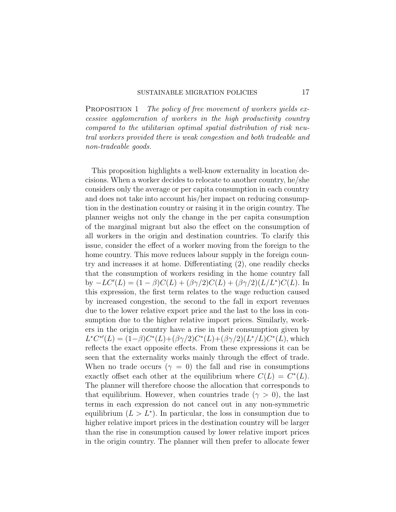PROPOSITION 1 The policy of free movement of workers yields excessive agglomeration of workers in the high productivity country compared to the utilitarian optimal spatial distribution of risk neutral workers provided there is weak congestion and both tradeable and non-tradeable goods.

This proposition highlights a well-know externality in location decisions. When a worker decides to relocate to another country, he/she considers only the average or per capita consumption in each country and does not take into account his/her impact on reducing consumption in the destination country or raising it in the origin country. The planner weighs not only the change in the per capita consumption of the marginal migrant but also the effect on the consumption of all workers in the origin and destination countries. To clarify this issue, consider the effect of a worker moving from the foreign to the home country. This move reduces labour supply in the foreign country and increases it at home. Differentiating [\(2\)](#page-12-1), one readily checks that the consumption of workers residing in the home country fall by  $-LC'(L) = (1 - \beta)C(L) + (\beta \gamma/2)C(L) + (\beta \gamma/2)(L/L^*)C(L)$ . In this expression, the first term relates to the wage reduction caused by increased congestion, the second to the fall in export revenues due to the lower relative export price and the last to the loss in consumption due to the higher relative import prices. Similarly, workers in the origin country have a rise in their consumption given by  $L^*C^{**}(L) = (1-\beta)C^*(L) + (\beta\gamma/2)C^*(L) + (\beta\gamma/2)(L^*/L)C^*(L)$ , which reflects the exact opposite effects. From these expressions it can be seen that the externality works mainly through the effect of trade. When no trade occurs ( $\gamma = 0$ ) the fall and rise in consumptions exactly offset each other at the equilibrium where  $C(L) = C^{*}(L)$ . The planner will therefore choose the allocation that corresponds to that equilibrium. However, when countries trade ( $\gamma > 0$ ), the last terms in each expression do not cancel out in any non-symmetric equilibrium  $(L > L^*)$ . In particular, the loss in consumption due to higher relative import prices in the destination country will be larger than the rise in consumption caused by lower relative import prices in the origin country. The planner will then prefer to allocate fewer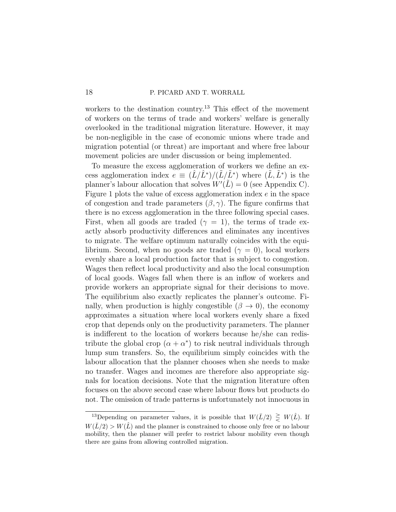workers to the destination country.<sup>[13](#page-17-0)</sup> This effect of the movement of workers on the terms of trade and workers' welfare is generally overlooked in the traditional migration literature. However, it may be non-negligible in the case of economic unions where trade and migration potential (or threat) are important and where free labour movement policies are under discussion or being implemented.

To measure the excess agglomeration of workers we define an excess agglomeration index  $e \equiv (\hat{L}/\hat{L}^*)/(\tilde{L}/\tilde{L}^*)$  where  $(\tilde{L}, \tilde{L}^*)$  is the planner's labour allocation that solves  $W'(\tilde{L}) = 0$  (see Appendix [C\)](#page-50-0). Figure [1](#page-18-0) plots the value of excess agglomeration index e in the space of congestion and trade parameters  $(\beta, \gamma)$ . The figure confirms that there is no excess agglomeration in the three following special cases. First, when all goods are traded ( $\gamma = 1$ ), the terms of trade exactly absorb productivity differences and eliminates any incentives to migrate. The welfare optimum naturally coincides with the equilibrium. Second, when no goods are traded ( $\gamma = 0$ ), local workers evenly share a local production factor that is subject to congestion. Wages then reflect local productivity and also the local consumption of local goods. Wages fall when there is an inflow of workers and provide workers an appropriate signal for their decisions to move. The equilibrium also exactly replicates the planner's outcome. Finally, when production is highly congestible  $(\beta \to 0)$ , the economy approximates a situation where local workers evenly share a fixed crop that depends only on the productivity parameters. The planner is indifferent to the location of workers because he/she can redistribute the global crop  $(\alpha + \alpha^*)$  to risk neutral individuals through lump sum transfers. So, the equilibrium simply coincides with the labour allocation that the planner chooses when she needs to make no transfer. Wages and incomes are therefore also appropriate signals for location decisions. Note that the migration literature often focuses on the above second case where labour flows but products do not. The omission of trade patterns is unfortunately not innocuous in

<span id="page-17-0"></span><sup>&</sup>lt;sup>13</sup>Depending on parameter values, it is possible that  $W(\bar{L}/2) \geq W(\hat{L})$ . If  $W(\bar{L}/2) > W(\hat{L})$  and the planner is constrained to choose only free or no labour mobility, then the planner will prefer to restrict labour mobility even though there are gains from allowing controlled migration.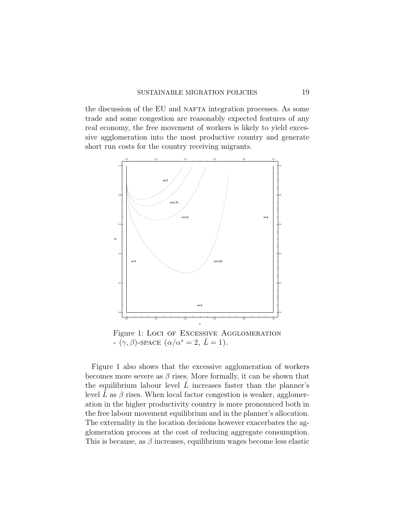the discussion of the EU and NAFTA integration processes. As some trade and some congestion are reasonably expected features of any real economy, the free movement of workers is likely to yield excessive agglomeration into the most productive country and generate short run costs for the country receiving migrants.

<span id="page-18-0"></span>

Figure 1: Loci of Excessive Agglomeration  $-\left(\gamma,\beta\right)$ -SPACE  $\left(\alpha/\alpha^*\right)=2, \bar{L}=1$ ).

Figure [1](#page-18-0) also shows that the excessive agglomeration of workers becomes more severe as  $\beta$  rises. More formally, it can be shown that the equilibrium labour level  $\tilde{L}$  increases faster than the planner's level  $\tilde{L}$  as  $\beta$  rises. When local factor congestion is weaker, agglomeration in the higher productivity country is more pronounced both in the free labour movement equilibrium and in the planner's allocation. The externality in the location decisions however exacerbates the agglomeration process at the cost of reducing aggregate consumption. This is because, as  $\beta$  increases, equilibrium wages become less elastic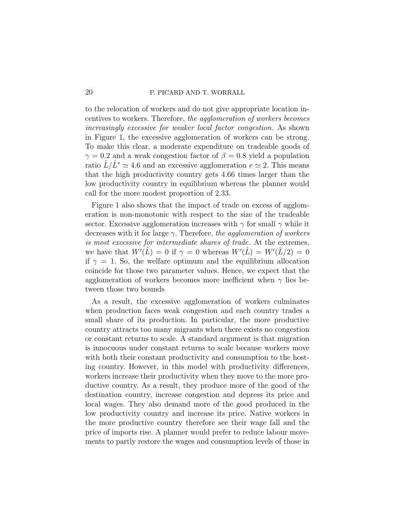to the relocation of workers and do not give appropriate location incentives to workers. Therefore, the agglomeration of workers becomes increasingly excessive for weaker local factor congestion. As shown in Figure [1,](#page-18-0) the excessive agglomeration of workers can be strong. To make this clear, a moderate expenditure on tradeable goods of  $\gamma = 0.2$  and a weak congestion factor of  $\beta = 0.8$  yield a population ratio  $L/L^* \simeq 4.6$  and an excessive agglomeration  $e \simeq 2$ . This means that the high productivity country gets 4.66 times larger than the low productivity country in equilibrium whereas the planner would call for the more modest proportion of 2.33.

Figure [1](#page-18-0) also shows that the impact of trade on excess of agglomeration is non-monotonic with respect to the size of the tradeable sector. Excessive agglomeration increases with  $\gamma$  for small  $\gamma$  while it decreases with it for large  $\gamma$ . Therefore, the agglomeration of workers is most excessive for intermediate shares of trade. At the extremes, we have that  $W'(\hat{L}) = 0$  if  $\gamma = 0$  whereas  $W'(\hat{L}) = W'(\bar{L}/2) = 0$ if  $\gamma = 1$ . So, the welfare optimum and the equilibrium allocation coincide for those two parameter values. Hence, we expect that the agglomeration of workers becomes more inefficient when  $\gamma$  lies between those two bounds

As a result, the excessive agglomeration of workers culminates when production faces weak congestion and each country trades a small share of its production. In particular, the more productive country attracts too many migrants when there exists no congestion or constant returns to scale. A standard argument is that migration is innocuous under constant returns to scale because workers move with both their constant productivity and consumption to the hosting country. However, in this model with productivity differences, workers increase their productivity when they move to the more productive country. As a result, they produce more of the good of the destination country, increase congestion and depress its price and local wages. They also demand more of the good produced in the low productivity country and increase its price. Native workers in the more productive country therefore see their wage fall and the price of imports rise. A planner would prefer to reduce labour movements to partly restore the wages and consumption levels of those in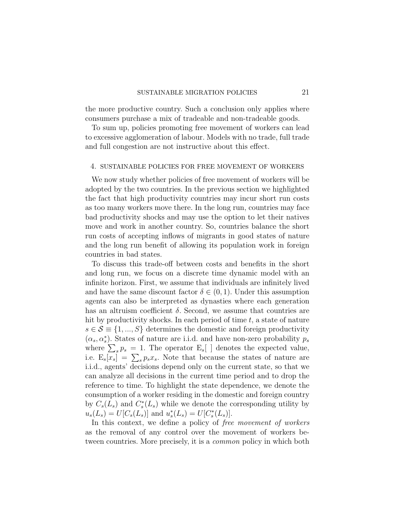the more productive country. Such a conclusion only applies where consumers purchase a mix of tradeable and non-tradeable goods.

To sum up, policies promoting free movement of workers can lead to excessive agglomeration of labour. Models with no trade, full trade and full congestion are not instructive about this effect.

## 4. SUSTAINABLE POLICIES FOR FREE MOVEMENT OF WORKERS

We now study whether policies of free movement of workers will be adopted by the two countries. In the previous section we highlighted the fact that high productivity countries may incur short run costs as too many workers move there. In the long run, countries may face bad productivity shocks and may use the option to let their natives move and work in another country. So, countries balance the short run costs of accepting inflows of migrants in good states of nature and the long run benefit of allowing its population work in foreign countries in bad states.

To discuss this trade-off between costs and benefits in the short and long run, we focus on a discrete time dynamic model with an infinite horizon. First, we assume that individuals are infinitely lived and have the same discount factor  $\delta \in (0,1)$ . Under this assumption agents can also be interpreted as dynasties where each generation has an altruism coefficient  $\delta$ . Second, we assume that countries are hit by productivity shocks. In each period of time  $t$ , a state of nature  $s \in \mathcal{S} \equiv \{1, ..., S\}$  determines the domestic and foreign productivity  $(\alpha_s, \alpha_s^*)$ . States of nature are i.i.d. and have non-zero probability  $p_s$ where  $\sum_{s} p_s = 1$ . The operator  $E_s$  denotes the expected value, i.e.  $E_s[x_s] = \sum_s p_s x_s$ . Note that because the states of nature are i.i.d., agents' decisions depend only on the current state, so that we can analyze all decisions in the current time period and to drop the reference to time. To highlight the state dependence, we denote the consumption of a worker residing in the domestic and foreign country by  $C_s(L_s)$  and  $C_s^*(L_s)$  while we denote the corresponding utility by  $u_s(L_s) = U[C_s(L_s)]$  and  $u_s^*(L_s) = U[C_s^*(L_s)]$ .

In this context, we define a policy of free movement of workers as the removal of any control over the movement of workers between countries. More precisely, it is a common policy in which both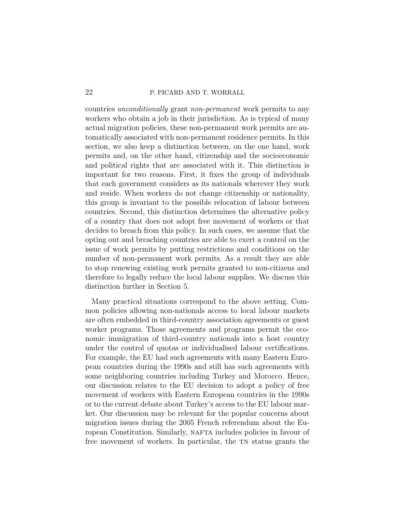countries unconditionally grant non-permanent work permits to any workers who obtain a job in their jurisdiction. As is typical of many actual migration policies, these non-permanent work permits are automatically associated with non-permanent residence permits. In this section, we also keep a distinction between, on the one hand, work permits and, on the other hand, citizenship and the socioeconomic and political rights that are associated with it. This distinction is important for two reasons. First, it fixes the group of individuals that each government considers as its nationals wherever they work and reside. When workers do not change citizenship or nationality, this group is invariant to the possible relocation of labour between countries. Second, this distinction determines the alternative policy of a country that does not adopt free movement of workers or that decides to breach from this policy. In such cases, we assume that the opting out and breaching countries are able to exert a control on the issue of work permits by putting restrictions and conditions on the number of non-permanent work permits. As a result they are able to stop renewing existing work permits granted to non-citizens and therefore to legally reduce the local labour supplies. We discuss this distinction further in Section 5.

Many practical situations correspond to the above setting. Common policies allowing non-nationals access to local labour markets are often embedded in third-country association agreements or guest worker programs. Those agreements and programs permit the economic immigration of third-country nationals into a host country under the control of quotas or individualised labour certifications. For example, the EU had such agreements with many Eastern European countries during the 1990s and still has such agreements with some neighboring countries including Turkey and Morocco. Hence, our discussion relates to the EU decision to adopt a policy of free movement of workers with Eastern European countries in the 1990s or to the current debate about Turkey's access to the EU labour market. Our discussion may be relevant for the popular concerns about migration issues during the 2005 French referendum about the European Constitution. Similarly, NAFTA includes policies in favour of free movement of workers. In particular, the TN status grants the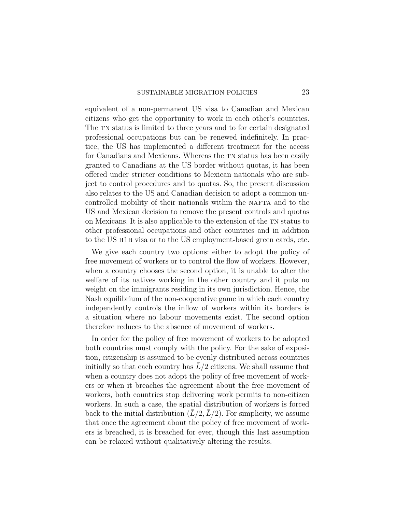equivalent of a non-permanent US visa to Canadian and Mexican citizens who get the opportunity to work in each other's countries. The TN status is limited to three years and to for certain designated professional occupations but can be renewed indefinitely. In practice, the US has implemented a different treatment for the access for Canadians and Mexicans. Whereas the TN status has been easily granted to Canadians at the US border without quotas, it has been offered under stricter conditions to Mexican nationals who are subject to control procedures and to quotas. So, the present discussion also relates to the US and Canadian decision to adopt a common uncontrolled mobility of their nationals within the NAFTA and to the US and Mexican decision to remove the present controls and quotas on Mexicans. It is also applicable to the extension of the TN status to other professional occupations and other countries and in addition to the US h1b visa or to the US employment-based green cards, etc.

We give each country two options: either to adopt the policy of free movement of workers or to control the flow of workers. However, when a country chooses the second option, it is unable to alter the welfare of its natives working in the other country and it puts no weight on the immigrants residing in its own jurisdiction. Hence, the Nash equilibrium of the non-cooperative game in which each country independently controls the inflow of workers within its borders is a situation where no labour movements exist. The second option therefore reduces to the absence of movement of workers.

In order for the policy of free movement of workers to be adopted both countries must comply with the policy. For the sake of exposition, citizenship is assumed to be evenly distributed across countries initially so that each country has  $L/2$  citizens. We shall assume that when a country does not adopt the policy of free movement of workers or when it breaches the agreement about the free movement of workers, both countries stop delivering work permits to non-citizen workers. In such a case, the spatial distribution of workers is forced back to the initial distribution  $(\overline{L}/2, \overline{L}/2)$ . For simplicity, we assume that once the agreement about the policy of free movement of workers is breached, it is breached for ever, though this last assumption can be relaxed without qualitatively altering the results.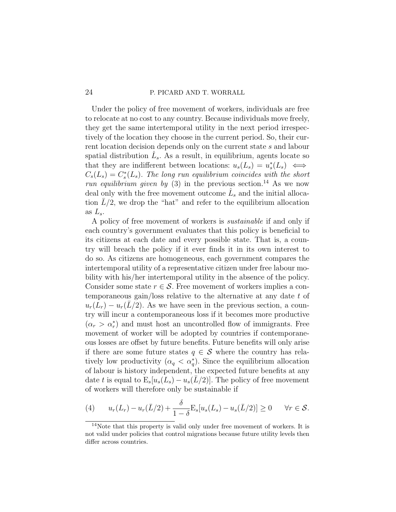Under the policy of free movement of workers, individuals are free to relocate at no cost to any country. Because individuals move freely, they get the same intertemporal utility in the next period irrespectively of the location they choose in the current period. So, their current location decision depends only on the current state s and labour spatial distribution  $\hat{L}_s$ . As a result, in equilibrium, agents locate so that they are indifferent between locations:  $u_s(L_s) = u_s^*(L_s) \iff$  $C_s(L_s) = C_s^*(L_s)$ . The long run equilibrium coincides with the short run equilibrium given by [\(3\)](#page-13-1) in the previous section.<sup>[14](#page-23-0)</sup> As we now deal only with the free movement outcome  $\hat{L}_s$  and the initial allocation  $\bar{L}/2$ , we drop the "hat" and refer to the equilibrium allocation as  $L_s$ .

A policy of free movement of workers is sustainable if and only if each country's government evaluates that this policy is beneficial to its citizens at each date and every possible state. That is, a country will breach the policy if it ever finds it in its own interest to do so. As citizens are homogeneous, each government compares the intertemporal utility of a representative citizen under free labour mobility with his/her intertemporal utility in the absence of the policy. Consider some state  $r \in \mathcal{S}$ . Free movement of workers implies a contemporaneous gain/loss relative to the alternative at any date t of  $u_r(L_r) - u_r(L/2)$ . As we have seen in the previous section, a country will incur a contemporaneous loss if it becomes more productive  $(\alpha_r > \alpha_r^*)$  and must host an uncontrolled flow of immigrants. Free movement of worker will be adopted by countries if contemporaneous losses are offset by future benefits. Future benefits will only arise if there are some future states  $q \in \mathcal{S}$  where the country has relatively low productivity  $(\alpha_q < \alpha_q^*)$ . Since the equilibrium allocation of labour is history independent, the expected future benefits at any date t is equal to  $E_s[u_s(L_s) - u_s(L/2)]$ . The policy of free movement of workers will therefore only be sustainable if

<span id="page-23-1"></span>(4) 
$$
u_r(L_r) - u_r(\bar{L}/2) + \frac{\delta}{1-\delta} \mathcal{E}_s[u_s(L_s) - u_s(\bar{L}/2)] \geq 0 \quad \forall r \in \mathcal{S}.
$$

<span id="page-23-0"></span><sup>14</sup>Note that this property is valid only under free movement of workers. It is not valid under policies that control migrations because future utility levels then differ across countries.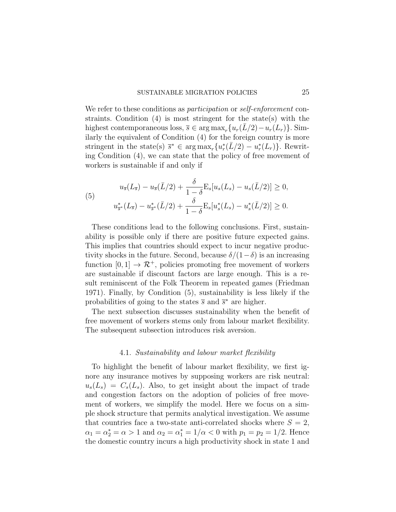We refer to these conditions as *participation* or *self-enforcement* constraints. Condition [\(4\)](#page-23-1) is most stringent for the state(s) with the highest contemporaneous loss,  $\overline{s} \in \arg \max_r \{u_r(L/2) - u_r(L_r)\}\.$  Similarly the equivalent of Condition [\(4\)](#page-23-1) for the foreign country is more stringent in the state(s)  $\bar{s}^* \in \arg \max_r \{u_r^*(\bar{L}/2) - u_r^*(L_r)\}\.$  Rewriting Condition [\(4\)](#page-23-1), we can state that the policy of free movement of workers is sustainable if and only if

<span id="page-24-0"></span>(5) 
$$
u_{\overline{s}}(L_{\overline{s}}) - u_{\overline{s}}(\overline{L}/2) + \frac{\delta}{1-\delta} \mathcal{E}_s[u_s(L_s) - u_s(\overline{L}/2)] \ge 0,
$$

$$
u_{\overline{s}}^*(L_{\overline{s}}) - u_{\overline{s}}^*(\overline{L}/2) + \frac{\delta}{1-\delta} \mathcal{E}_s[u_s^*(L_s) - u_s^*(\overline{L}/2)] \ge 0.
$$

These conditions lead to the following conclusions. First, sustainability is possible only if there are positive future expected gains. This implies that countries should expect to incur negative productivity shocks in the future. Second, because  $\delta/(1-\delta)$  is an increasing function  $[0, 1] \rightarrow \mathbb{R}^+$ , policies promoting free movement of workers are sustainable if discount factors are large enough. This is a result reminiscent of the Folk Theorem in repeated games [\(Friedman](#page-47-15) [1971\)](#page-47-15). Finally, by Condition [\(5\)](#page-24-0), sustainability is less likely if the probabilities of going to the states  $\bar{s}$  and  $\bar{s}^*$  are higher.

The next subsection discusses sustainability when the benefit of free movement of workers stems only from labour market flexibility. The subsequent subsection introduces risk aversion.

# 4.1. Sustainability and labour market flexibility

To highlight the benefit of labour market flexibility, we first ignore any insurance motives by supposing workers are risk neutral:  $u_s(L_s) = C_s(L_s)$ . Also, to get insight about the impact of trade and congestion factors on the adoption of policies of free movement of workers, we simplify the model. Here we focus on a simple shock structure that permits analytical investigation. We assume that countries face a two-state anti-correlated shocks where  $S = 2$ ,  $\alpha_1 = \alpha_2^* = \alpha > 1$  and  $\alpha_2 = \alpha_1^* = 1/\alpha < 0$  with  $p_1 = p_2 = 1/2$ . Hence the domestic country incurs a high productivity shock in state 1 and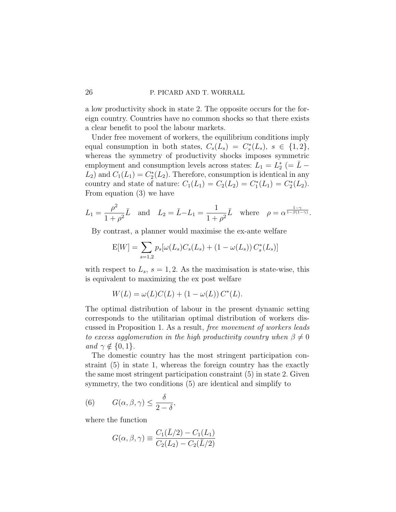a low productivity shock in state 2. The opposite occurs for the foreign country. Countries have no common shocks so that there exists a clear benefit to pool the labour markets.

Under free movement of workers, the equilibrium conditions imply equal consumption in both states,  $C_s(L_s) = C_s^*(L_s)$ ,  $s \in \{1,2\}$ , whereas the symmetry of productivity shocks imposes symmetric employment and consumption levels across states:  $L_1 = L_2^*$  (=  $\overline{L}$  –  $L_2$ ) and  $C_1(L_1) = C_2^*(L_2)$ . Therefore, consumption is identical in any country and state of nature:  $C_1(L_1) = C_2(L_2) = C_1^*(L_1) = C_2^*(L_2)$ . From equation [\(3\)](#page-13-1) we have

$$
L_1 = \frac{\rho^2}{1+\rho^2}\bar{L} \quad \text{and} \quad L_2 = \bar{L} - L_1 = \frac{1}{1+\rho^2}\bar{L} \quad \text{where} \quad \rho = \alpha^{\frac{1-\gamma}{1-\beta(1-\gamma)}}.
$$

By contrast, a planner would maximise the ex-ante welfare

$$
E[W] = \sum_{s=1,2} p_s [\omega(L_s) C_s(L_s) + (1 - \omega(L_s)) C_s^*(L_s)]
$$

with respect to  $L_s$ ,  $s = 1, 2$ . As the maximisation is state-wise, this is equivalent to maximizing the ex post welfare

$$
W(L) = \omega(L)C(L) + (1 - \omega(L)) C^*(L).
$$

The optimal distribution of labour in the present dynamic setting corresponds to the utilitarian optimal distribution of workers discussed in Proposition 1. As a result, free movement of workers leads to excess agglomeration in the high productivity country when  $\beta \neq 0$ and  $\gamma \notin \{0, 1\}.$ 

The domestic country has the most stringent participation constraint [\(5\)](#page-24-0) in state 1, whereas the foreign country has the exactly the same most stringent participation constraint [\(5\)](#page-24-0) in state 2. Given symmetry, the two conditions [\(5\)](#page-24-0) are identical and simplify to

(6) 
$$
G(\alpha, \beta, \gamma) \le \frac{\delta}{2 - \delta}
$$
,

where the function

$$
G(\alpha, \beta, \gamma) \equiv \frac{C_1(\bar{L}/2) - C_1(L_1)}{C_2(L_2) - C_2(\bar{L}/2)}
$$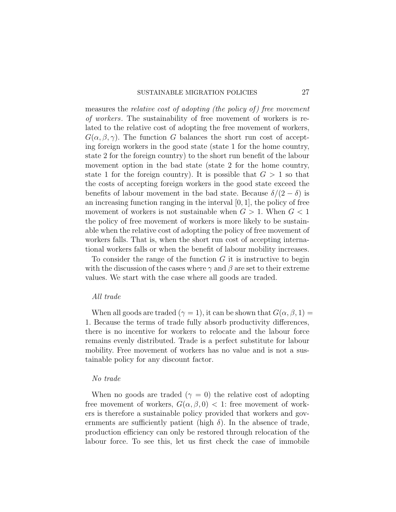## SUSTAINABLE MIGRATION POLICIES 27

measures the *relative cost of adopting (the policy of)* free movement of workers. The sustainability of free movement of workers is related to the relative cost of adopting the free movement of workers,  $G(\alpha, \beta, \gamma)$ . The function G balances the short run cost of accepting foreign workers in the good state (state 1 for the home country, state 2 for the foreign country) to the short run benefit of the labour movement option in the bad state (state 2 for the home country, state 1 for the foreign country). It is possible that  $G > 1$  so that the costs of accepting foreign workers in the good state exceed the benefits of labour movement in the bad state. Because  $\delta/(2-\delta)$  is an increasing function ranging in the interval  $[0, 1]$ , the policy of free movement of workers is not sustainable when  $G > 1$ . When  $G < 1$ the policy of free movement of workers is more likely to be sustainable when the relative cost of adopting the policy of free movement of workers falls. That is, when the short run cost of accepting international workers falls or when the benefit of labour mobility increases.

To consider the range of the function  $G$  it is instructive to begin with the discussion of the cases where  $\gamma$  and  $\beta$  are set to their extreme values. We start with the case where all goods are traded.

## All trade

When all goods are traded ( $\gamma = 1$ ), it can be shown that  $G(\alpha, \beta, 1) =$ 1. Because the terms of trade fully absorb productivity differences, there is no incentive for workers to relocate and the labour force remains evenly distributed. Trade is a perfect substitute for labour mobility. Free movement of workers has no value and is not a sustainable policy for any discount factor.

### No trade

When no goods are traded ( $\gamma = 0$ ) the relative cost of adopting free movement of workers,  $G(\alpha, \beta, 0) < 1$ : free movement of workers is therefore a sustainable policy provided that workers and governments are sufficiently patient (high  $\delta$ ). In the absence of trade, production efficiency can only be restored through relocation of the labour force. To see this, let us first check the case of immobile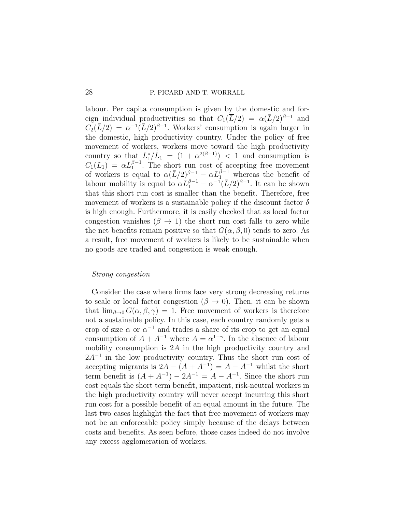labour. Per capita consumption is given by the domestic and foreign individual productivities so that  $C_1(\overline{L}/2) = \alpha(\overline{L}/2)^{\beta-1}$  and  $C_2(\bar{L}/2) = \alpha^{-1}(\bar{L}/2)^{\beta-1}$ . Workers' consumption is again larger in the domestic, high productivity country. Under the policy of free movement of workers, workers move toward the high productivity country so that  $L_1^*/L_1 = (1 + \alpha^{2(\beta-1)}) < 1$  and consumption is  $C_1(L_1) = \alpha L_1^{\beta-1}$ . The short run cost of accepting free movement of workers is equal to  $\alpha (L/2)^{\beta-1} - \alpha L_1^{\beta-1}$  whereas the benefit of labour mobility is equal to  $\alpha L_1^{\beta-1} - \alpha^{-1} (\bar{L}/2)^{\beta-1}$ . It can be shown that this short run cost is smaller than the benefit. Therefore, free movement of workers is a sustainable policy if the discount factor  $\delta$ is high enough. Furthermore, it is easily checked that as local factor congestion vanishes  $(\beta \to 1)$  the short run cost falls to zero while the net benefits remain positive so that  $G(\alpha, \beta, 0)$  tends to zero. As a result, free movement of workers is likely to be sustainable when no goods are traded and congestion is weak enough.

### Strong congestion

Consider the case where firms face very strong decreasing returns to scale or local factor congestion  $(\beta \to 0)$ . Then, it can be shown that  $\lim_{\beta\to 0} G(\alpha,\beta,\gamma) = 1$ . Free movement of workers is therefore not a sustainable policy. In this case, each country randomly gets a crop of size  $\alpha$  or  $\alpha^{-1}$  and trades a share of its crop to get an equal consumption of  $A + A^{-1}$  where  $A = \alpha^{1-\gamma}$ . In the absence of labour mobility consumption is 2A in the high productivity country and 2A<sup>-1</sup> in the low productivity country. Thus the short run cost of accepting migrants is  $2A - (A + A^{-1}) = A - A^{-1}$  whilst the short term benefit is  $(A + A^{-1}) - 2A^{-1} = A - A^{-1}$ . Since the short run cost equals the short term benefit, impatient, risk-neutral workers in the high productivity country will never accept incurring this short run cost for a possible benefit of an equal amount in the future. The last two cases highlight the fact that free movement of workers may not be an enforceable policy simply because of the delays between costs and benefits. As seen before, those cases indeed do not involve any excess agglomeration of workers.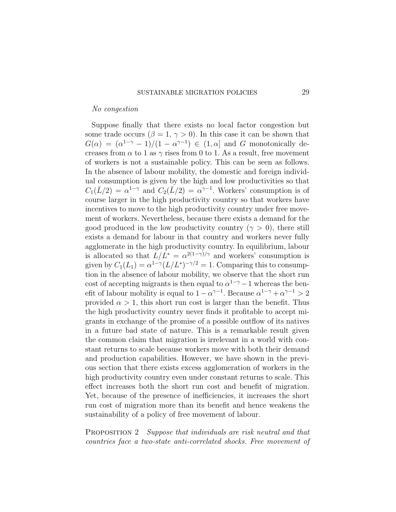#### No congestion

Suppose finally that there exists no local factor congestion but some trade occurs ( $\beta = 1, \gamma > 0$ ). In this case it can be shown that  $G(\alpha) = (\alpha^{1-\gamma} - 1)/(1 - \alpha^{\gamma-1}) \in (1, \alpha]$  and G monotonically decreases from  $\alpha$  to 1 as  $\gamma$  rises from 0 to 1. As a result, free movement of workers is not a sustainable policy. This can be seen as follows. In the absence of labour mobility, the domestic and foreign individual consumption is given by the high and low productivities so that  $C_1(\bar{L}/2) = \alpha^{1-\gamma}$  and  $C_2(\bar{L}/2) = \alpha^{\gamma-1}$ . Workers' consumption is of course larger in the high productivity country so that workers have incentives to move to the high productivity country under free movement of workers. Nevertheless, because there exists a demand for the good produced in the low productivity country ( $\gamma > 0$ ), there still exists a demand for labour in that country and workers never fully agglomerate in the high productivity country. In equilibrium, labour is allocated so that  $L/L^* = \alpha^{2(1-\gamma)/\gamma}$  and workers' consumption is given by  $C_1(L_1) = \alpha^{1-\gamma} (L/L^*)^{-\gamma/2} = 1$ . Comparing this to consumption in the absence of labour mobility, we observe that the short run cost of accepting migrants is then equal to  $\alpha^{1-\gamma}-1$  whereas the benefit of labour mobility is equal to  $1 - \alpha^{\gamma - 1}$ . Because  $\alpha^{1 - \gamma} + \alpha^{\gamma - 1} > 2$ provided  $\alpha > 1$ , this short run cost is larger than the benefit. Thus the high productivity country never finds it profitable to accept migrants in exchange of the promise of a possible outflow of its natives in a future bad state of nature. This is a remarkable result given the common claim that migration is irrelevant in a world with constant returns to scale because workers move with both their demand and production capabilities. However, we have shown in the previous section that there exists excess agglomeration of workers in the high productivity country even under constant returns to scale. This effect increases both the short run cost and benefit of migration. Yet, because of the presence of inefficiencies, it increases the short run cost of migration more than its benefit and hence weakens the sustainability of a policy of free movement of labour.

PROPOSITION 2 Suppose that individuals are risk neutral and that countries face a two-state anti-correlated shocks. Free movement of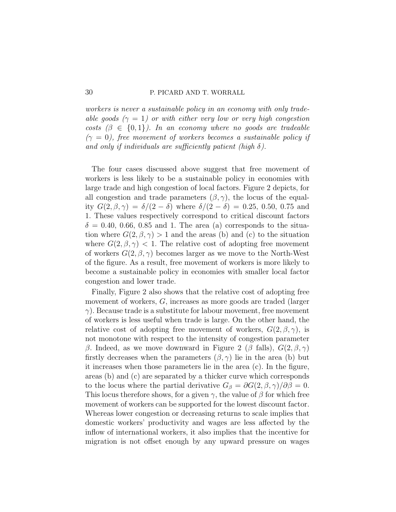workers is never a sustainable policy in an economy with only tradeable goods  $(\gamma = 1)$  or with either very low or very high congestion costs  $(\beta \in \{0,1\})$ . In an economy where no goods are tradeable  $(\gamma = 0)$ , free movement of workers becomes a sustainable policy if and only if individuals are sufficiently patient (high  $\delta$ ).

The four cases discussed above suggest that free movement of workers is less likely to be a sustainable policy in economies with large trade and high congestion of local factors. Figure [2](#page-30-0) depicts, for all congestion and trade parameters  $(\beta, \gamma)$ , the locus of the equality  $G(2, \beta, \gamma) = \delta/(2 - \delta)$  where  $\delta/(2 - \delta) = 0.25, 0.50, 0.75$  and 1. These values respectively correspond to critical discount factors  $\delta = 0.40, 0.66, 0.85$  and 1. The area (a) corresponds to the situation where  $G(2, \beta, \gamma) > 1$  and the areas (b) and (c) to the situation where  $G(2, \beta, \gamma)$  < 1. The relative cost of adopting free movement of workers  $G(2, \beta, \gamma)$  becomes larger as we move to the North-West of the figure. As a result, free movement of workers is more likely to become a sustainable policy in economies with smaller local factor congestion and lower trade.

Finally, Figure [2](#page-30-0) also shows that the relative cost of adopting free movement of workers, G, increases as more goods are traded (larger  $\gamma$ ). Because trade is a substitute for labour movement, free movement of workers is less useful when trade is large. On the other hand, the relative cost of adopting free movement of workers,  $G(2,\beta,\gamma)$ , is not monotone with respect to the intensity of congestion parameter β. Indeed, as we move downward in Figure 2 (β falls),  $G(2, \beta, \gamma)$ firstly decreases when the parameters  $(\beta, \gamma)$  lie in the area (b) but it increases when those parameters lie in the area (c). In the figure, areas (b) and (c) are separated by a thicker curve which corresponds to the locus where the partial derivative  $G_{\beta} = \partial G(2,\beta,\gamma)/\partial \beta = 0$ . This locus therefore shows, for a given  $\gamma$ , the value of  $\beta$  for which free movement of workers can be supported for the lowest discount factor. Whereas lower congestion or decreasing returns to scale implies that domestic workers' productivity and wages are less affected by the inflow of international workers, it also implies that the incentive for migration is not offset enough by any upward pressure on wages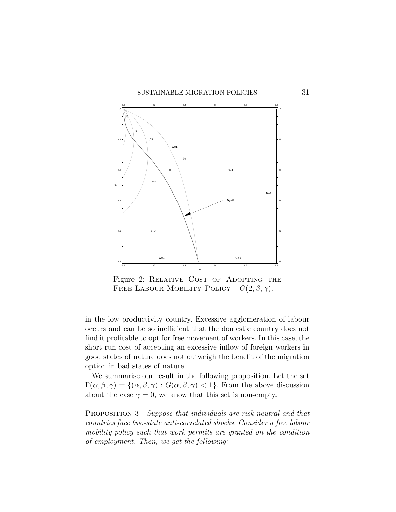<span id="page-30-0"></span>

Figure 2: RELATIVE COST OF ADOPTING THE FREE LABOUR MOBILITY POLICY -  $G(2, \beta, \gamma)$ .

in the low productivity country. Excessive agglomeration of labour occurs and can be so inefficient that the domestic country does not find it profitable to opt for free movement of workers. In this case, the short run cost of accepting an excessive inflow of foreign workers in good states of nature does not outweigh the benefit of the migration option in bad states of nature.

We summarise our result in the following proposition. Let the set  $\Gamma(\alpha,\beta,\gamma) = \{(\alpha,\beta,\gamma) : G(\alpha,\beta,\gamma) < 1\}.$  From the above discussion about the case  $\gamma = 0$ , we know that this set is non-empty.

PROPOSITION 3 Suppose that individuals are risk neutral and that countries face two-state anti-correlated shocks. Consider a free labour mobility policy such that work permits are granted on the condition of employment. Then, we get the following: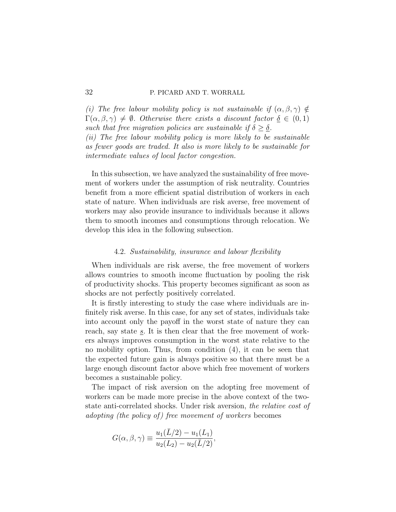(i) The free labour mobility policy is not sustainable if  $(\alpha, \beta, \gamma) \notin$  $\Gamma(\alpha,\beta,\gamma) \neq \emptyset$ . Otherwise there exists a discount factor  $\delta \in (0,1)$ such that free migration policies are sustainable if  $\delta \geq \delta$ . (ii) The free labour mobility policy is more likely to be sustainable as fewer goods are traded. It also is more likely to be sustainable for intermediate values of local factor congestion.

In this subsection, we have analyzed the sustainability of free movement of workers under the assumption of risk neutrality. Countries benefit from a more efficient spatial distribution of workers in each state of nature. When individuals are risk averse, free movement of workers may also provide insurance to individuals because it allows them to smooth incomes and consumptions through relocation. We develop this idea in the following subsection.

## 4.2. Sustainability, insurance and labour flexibility

When individuals are risk averse, the free movement of workers allows countries to smooth income fluctuation by pooling the risk of productivity shocks. This property becomes significant as soon as shocks are not perfectly positively correlated.

It is firstly interesting to study the case where individuals are infinitely risk averse. In this case, for any set of states, individuals take into account only the payoff in the worst state of nature they can reach, say state s. It is then clear that the free movement of workers always improves consumption in the worst state relative to the no mobility option. Thus, from condition [\(4\)](#page-23-1), it can be seen that the expected future gain is always positive so that there must be a large enough discount factor above which free movement of workers becomes a sustainable policy.

The impact of risk aversion on the adopting free movement of workers can be made more precise in the above context of the twostate anti-correlated shocks. Under risk aversion, the relative cost of adopting (the policy of) free movement of workers becomes

$$
G(\alpha, \beta, \gamma) \equiv \frac{u_1(\bar{L}/2) - u_1(L_1)}{u_2(L_2) - u_2(\bar{L}/2)},
$$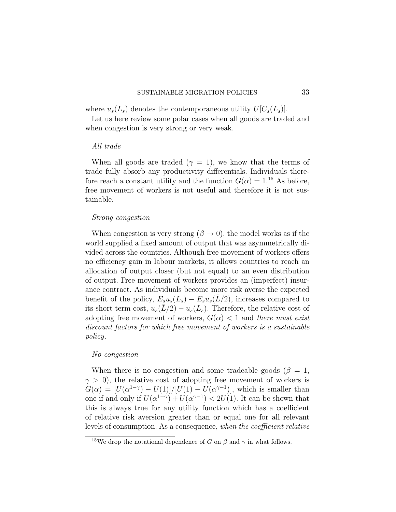where  $u_s(L_s)$  denotes the contemporaneous utility  $U[C_s(L_s)]$ .

Let us here review some polar cases when all goods are traded and when congestion is very strong or very weak.

### All trade

When all goods are traded ( $\gamma = 1$ ), we know that the terms of trade fully absorb any productivity differentials. Individuals therefore reach a constant utility and the function  $G(\alpha) = 1^{15}$  $G(\alpha) = 1^{15}$  $G(\alpha) = 1^{15}$  As before, free movement of workers is not useful and therefore it is not sustainable.

### Strong congestion

When congestion is very strong  $(\beta \to 0)$ , the model works as if the world supplied a fixed amount of output that was asymmetrically divided across the countries. Although free movement of workers offers no efficiency gain in labour markets, it allows countries to reach an allocation of output closer (but not equal) to an even distribution of output. Free movement of workers provides an (imperfect) insurance contract. As individuals become more risk averse the expected benefit of the policy,  $E_s u_s(L_s) - E_s u_s(\bar{L}/2)$ , increases compared to its short term cost,  $u_{\overline{s}}(\overline{L}/2) - u_{\overline{s}}(L_{\overline{s}})$ . Therefore, the relative cost of adopting free movement of workers,  $G(\alpha) < 1$  and there must exist discount factors for which free movement of workers is a sustainable policy.

### No congestion

When there is no congestion and some tradeable goods ( $\beta = 1$ ,  $\gamma > 0$ , the relative cost of adopting free movement of workers is  $G(\alpha) = [U(\alpha^{1-\gamma}) - U(1)]/[U(1) - U(\alpha^{\gamma-1})]$ , which is smaller than one if and only if  $U(\alpha^{1-\gamma}) + U(\alpha^{\gamma-1}) < 2U(1)$ . It can be shown that this is always true for any utility function which has a coefficient of relative risk aversion greater than or equal one for all relevant levels of consumption. As a consequence, when the coefficient relative

<span id="page-32-0"></span><sup>&</sup>lt;sup>15</sup>We drop the notational dependence of G on  $\beta$  and  $\gamma$  in what follows.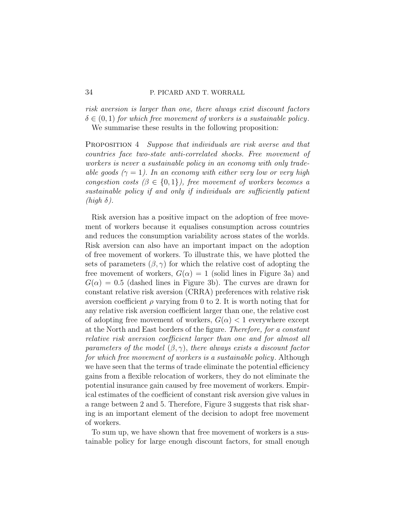risk aversion is larger than one, there always exist discount factors  $\delta \in (0,1)$  for which free movement of workers is a sustainable policy. We summarise these results in the following proposition:

PROPOSITION 4 Suppose that individuals are risk averse and that countries face two-state anti-correlated shocks. Free movement of workers is never a sustainable policy in an economy with only tradeable goods ( $\gamma = 1$ ). In an economy with either very low or very high congestion costs  $(\beta \in \{0,1\})$ , free movement of workers becomes a sustainable policy if and only if individuals are sufficiently patient  $(high \delta)$ .

Risk aversion has a positive impact on the adoption of free movement of workers because it equalises consumption across countries and reduces the consumption variability across states of the worlds. Risk aversion can also have an important impact on the adoption of free movement of workers. To illustrate this, we have plotted the sets of parameters  $(\beta, \gamma)$  for which the relative cost of adopting the free movement of workers,  $G(\alpha) = 1$  (solid lines in Figure [3a\)](#page-34-0) and  $G(\alpha) = 0.5$  (dashed lines in Figure [3b\)](#page-34-1). The curves are drawn for constant relative risk aversion (CRRA) preferences with relative risk aversion coefficient  $\rho$  varying from 0 to 2. It is worth noting that for any relative risk aversion coefficient larger than one, the relative cost of adopting free movement of workers,  $G(\alpha) < 1$  everywhere except at the North and East borders of the figure. Therefore, for a constant relative risk aversion coefficient larger than one and for almost all parameters of the model  $(\beta, \gamma)$ , there always exists a discount factor for which free movement of workers is a sustainable policy. Although we have seen that the terms of trade eliminate the potential efficiency gains from a flexible relocation of workers, they do not eliminate the potential insurance gain caused by free movement of workers. Empirical estimates of the coefficient of constant risk aversion give values in a range between 2 and 5. Therefore, Figure [3](#page-34-2) suggests that risk sharing is an important element of the decision to adopt free movement of workers.

To sum up, we have shown that free movement of workers is a sustainable policy for large enough discount factors, for small enough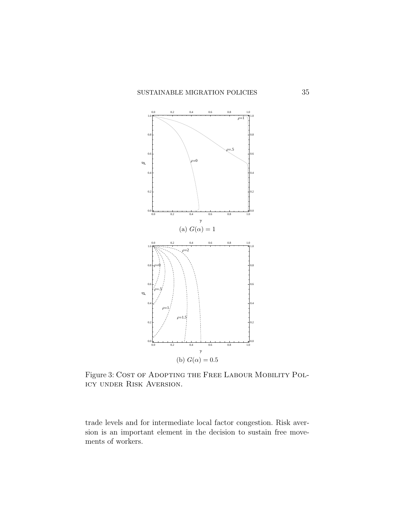<span id="page-34-2"></span><span id="page-34-0"></span>

<span id="page-34-1"></span>Figure 3: COST OF ADOPTING THE FREE LABOUR MOBILITY POLicy under Risk Aversion.

trade levels and for intermediate local factor congestion. Risk aversion is an important element in the decision to sustain free movements of workers.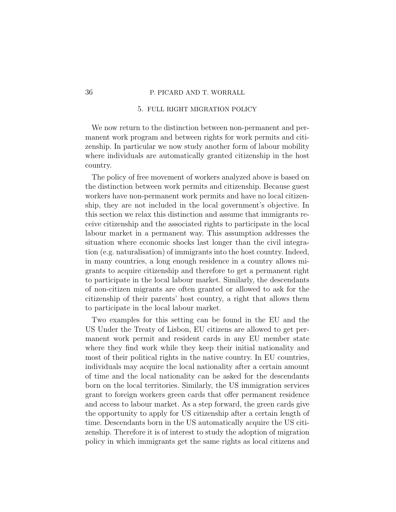### 5. FULL RIGHT MIGRATION POLICY

We now return to the distinction between non-permanent and permanent work program and between rights for work permits and citizenship. In particular we now study another form of labour mobility where individuals are automatically granted citizenship in the host country.

The policy of free movement of workers analyzed above is based on the distinction between work permits and citizenship. Because guest workers have non-permanent work permits and have no local citizenship, they are not included in the local government's objective. In this section we relax this distinction and assume that immigrants receive citizenship and the associated rights to participate in the local labour market in a permanent way. This assumption addresses the situation where economic shocks last longer than the civil integration (e.g. naturalisation) of immigrants into the host country. Indeed, in many countries, a long enough residence in a country allows migrants to acquire citizenship and therefore to get a permanent right to participate in the local labour market. Similarly, the descendants of non-citizen migrants are often granted or allowed to ask for the citizenship of their parents' host country, a right that allows them to participate in the local labour market.

Two examples for this setting can be found in the EU and the US Under the Treaty of Lisbon, EU citizens are allowed to get permanent work permit and resident cards in any EU member state where they find work while they keep their initial nationality and most of their political rights in the native country. In EU countries, individuals may acquire the local nationality after a certain amount of time and the local nationality can be asked for the descendants born on the local territories. Similarly, the US immigration services grant to foreign workers green cards that offer permanent residence and access to labour market. As a step forward, the green cards give the opportunity to apply for US citizenship after a certain length of time. Descendants born in the US automatically acquire the US citizenship. Therefore it is of interest to study the adoption of migration policy in which immigrants get the same rights as local citizens and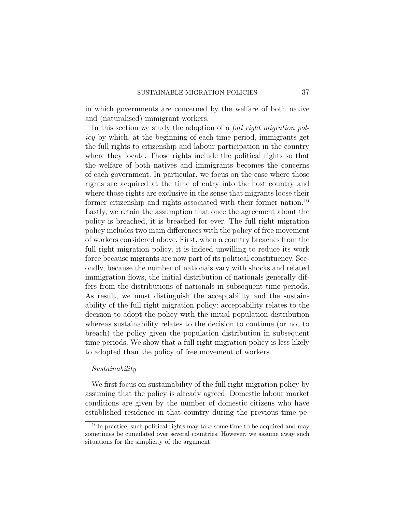in which governments are concerned by the welfare of both native and (naturalised) immigrant workers.

In this section we study the adoption of a *full right migration pol*icy by which, at the beginning of each time period, immigrants get the full rights to citizenship and labour participation in the country where they locate. Those rights include the political rights so that the welfare of both natives and immigrants becomes the concerns of each government. In particular, we focus on the case where those rights are acquired at the time of entry into the host country and where those rights are exclusive in the sense that migrants loose their former citizenship and rights associated with their former nation.<sup>[16](#page-36-0)</sup> Lastly, we retain the assumption that once the agreement about the policy is breached, it is breached for ever. The full right migration policy includes two main differences with the policy of free movement of workers considered above. First, when a country breaches from the full right migration policy, it is indeed unwilling to reduce its work force because migrants are now part of its political constituency. Secondly, because the number of nationals vary with shocks and related immigration flows, the initial distribution of nationals generally differs from the distributions of nationals in subsequent time periods. As result, we must distinguish the acceptability and the sustainability of the full right migration policy: acceptability relates to the decision to adopt the policy with the initial population distribution whereas sustainability relates to the decision to continue (or not to breach) the policy given the population distribution in subsequent time periods. We show that a full right migration policy is less likely to adopted than the policy of free movement of workers.

### Sustainability

We first focus on sustainability of the full right migration policy by assuming that the policy is already agreed. Domestic labour market conditions are given by the number of domestic citizens who have established residence in that country during the previous time pe-

<span id="page-36-0"></span><sup>16</sup>In practice, such political rights may take some time to be acquired and may sometimes be cumulated over several countries. However, we assume away such situations for the simplicity of the argument.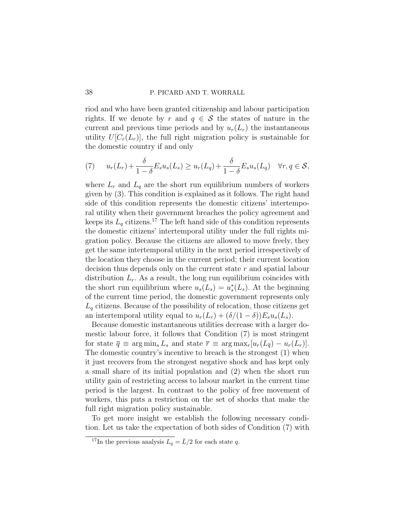riod and who have been granted citizenship and labour participation rights. If we denote by r and  $q \in \mathcal{S}$  the states of nature in the current and previous time periods and by  $u_r(L_r)$  the instantaneous utility  $U[C_r(L_r)]$ , the full right migration policy is sustainable for the domestic country if and only

<span id="page-37-1"></span>(7) 
$$
u_r(L_r) + \frac{\delta}{1-\delta} E_s u_s(L_s) \ge u_r(L_q) + \frac{\delta}{1-\delta} E_s u_s(L_q) \quad \forall r, q \in \mathcal{S},
$$

where  $L_r$  and  $L_q$  are the short run equilibrium numbers of workers given by [\(3\)](#page-13-1). This condition is explained as it follows. The right hand side of this condition represents the domestic citizens' intertemporal utility when their government breaches the policy agreement and keeps its  $L_q$  citizens.<sup>[17](#page-37-0)</sup> The left hand side of this condition represents the domestic citizens' intertemporal utility under the full rights migration policy. Because the citizens are allowed to move freely, they get the same intertemporal utility in the next period irrespectively of the location they choose in the current period; their current location decision thus depends only on the current state r and spatial labour distribution  $L_r$ . As a result, the long run equilibrium coincides with the short run equilibrium where  $u_s(L_s) = u_s^*(L_s)$ . At the beginning of the current time period, the domestic government represents only  $L_q$  citizens. Because of the possibility of relocation, those citizens get an intertemporal utility equal to  $u_r(L_r) + (\delta/(1-\delta))E_s u_s(L_s)$ .

Because domestic instantaneous utilities decrease with a larger domestic labour force, it follows that Condition [\(7\)](#page-37-1) is most stringent for state  $\overline{q} \equiv \arg \min_s L_s$  and state  $\overline{r} \equiv \arg \max_r [u_r(L_{\overline{q}}) - u_r(L_r)].$ The domestic country's incentive to breach is the strongest (1) when it just recovers from the strongest negative shock and has kept only a small share of its initial population and (2) when the short run utility gain of restricting access to labour market in the current time period is the largest. In contrast to the policy of free movement of workers, this puts a restriction on the set of shocks that make the full right migration policy sustainable.

To get more insight we establish the following necessary condition. Let us take the expectation of both sides of Condition [\(7\)](#page-37-1) with

<span id="page-37-0"></span><sup>&</sup>lt;sup>17</sup>In the previous analysis  $L_q = \bar{L}/2$  for each state q.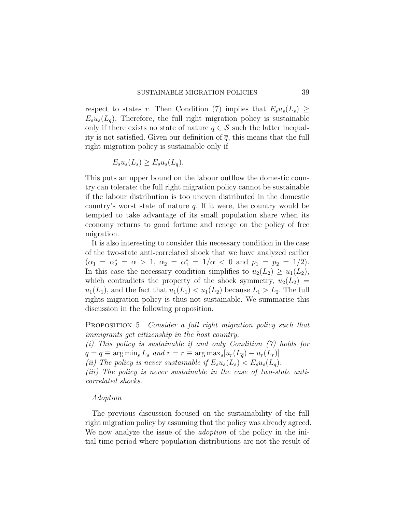respect to states r. Then Condition [\(7\)](#page-37-1) implies that  $E_s u_s(L_s) \geq$  $E_s u_s(L_q)$ . Therefore, the full right migration policy is sustainable only if there exists no state of nature  $q \in \mathcal{S}$  such the latter inequality is not satisfied. Given our definition of  $\overline{q}$ , this means that the full right migration policy is sustainable only if

$$
E_s u_s(L_s) \ge E_s u_s(L_{\overline{q}}).
$$

This puts an upper bound on the labour outflow the domestic country can tolerate: the full right migration policy cannot be sustainable if the labour distribution is too uneven distributed in the domestic country's worst state of nature  $\bar{q}$ . If it were, the country would be tempted to take advantage of its small population share when its economy returns to good fortune and renege on the policy of free migration.

It is also interesting to consider this necessary condition in the case of the two-state anti-correlated shock that we have analyzed earlier  $(\alpha_1 = \alpha_2^* = \alpha > 1, \ \alpha_2 = \alpha_1^* = 1/\alpha < 0 \text{ and } p_1 = p_2 = 1/2).$ In this case the necessary condition simplifies to  $u_2(L_2) \geq u_1(L_2)$ , which contradicts the property of the shock symmetry,  $u_2(L_2)$  =  $u_1(L_1)$ , and the fact that  $u_1(L_1) < u_1(L_2)$  because  $L_1 > L_2$ . The full rights migration policy is thus not sustainable. We summarise this discussion in the following proposition.

<span id="page-38-0"></span>PROPOSITION 5 *Consider a full right migration policy such that* immigrants get citizenship in the host country.

(i) This policy is sustainable if and only Condition [\(7\)](#page-37-1) holds for  $q = \overline{q} \equiv \arg \min_s L_s$  and  $r = \overline{r} \equiv \arg \max_s [u_r(L_{\overline{q}}) - u_r(L_r)].$ 

(ii) The policy is never sustainable if  $E_s u_s(L_s) < E_s u_s(L_{\overline{q}})$ .

(*iii*) The policy is never sustainable in the case of two-state anticorrelated shocks.

## Adoption

The previous discussion focused on the sustainability of the full right migration policy by assuming that the policy was already agreed. We now analyze the issue of the *adoption* of the policy in the initial time period where population distributions are not the result of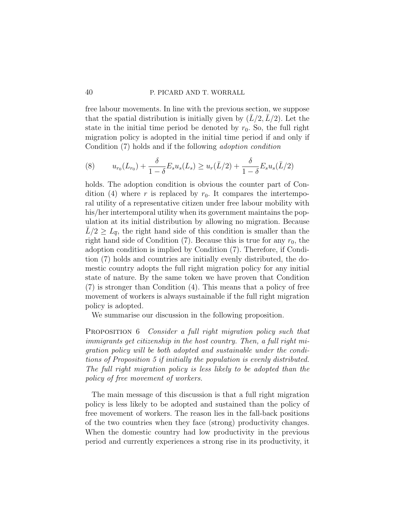free labour movements. In line with the previous section, we suppose that the spatial distribution is initially given by  $(L/2, L/2)$ . Let the state in the initial time period be denoted by  $r_0$ . So, the full right migration policy is adopted in the initial time period if and only if Condition [\(7\)](#page-37-1) holds and if the following adoption condition

(8) 
$$
u_{r_0}(L_{r_0}) + \frac{\delta}{1-\delta} E_s u_s(L_s) \ge u_r(\bar{L}/2) + \frac{\delta}{1-\delta} E_s u_s(\bar{L}/2)
$$

holds. The adoption condition is obvious the counter part of Con-dition [\(4\)](#page-23-1) where r is replaced by  $r_0$ . It compares the intertemporal utility of a representative citizen under free labour mobility with his/her intertemporal utility when its government maintains the population at its initial distribution by allowing no migration. Because  $L/2 \geq L_{\overline{q}}$ , the right hand side of this condition is smaller than the right hand side of Condition  $(7)$ . Because this is true for any  $r_0$ , the adoption condition is implied by Condition [\(7\)](#page-37-1). Therefore, if Condition [\(7\)](#page-37-1) holds and countries are initially evenly distributed, the domestic country adopts the full right migration policy for any initial state of nature. By the same token we have proven that Condition [\(7\)](#page-37-1) is stronger than Condition [\(4\)](#page-23-1). This means that a policy of free movement of workers is always sustainable if the full right migration policy is adopted.

We summarise our discussion in the following proposition.

<span id="page-39-0"></span>PROPOSITION 6 *Consider a full right migration policy such that* immigrants get citizenship in the host country. Then, a full right migration policy will be both adopted and sustainable under the conditions of Proposition [5](#page-38-0) if initially the population is evenly distributed. The full right migration policy is less likely to be adopted than the policy of free movement of workers.

The main message of this discussion is that a full right migration policy is less likely to be adopted and sustained than the policy of free movement of workers. The reason lies in the fall-back positions of the two countries when they face (strong) productivity changes. When the domestic country had low productivity in the previous period and currently experiences a strong rise in its productivity, it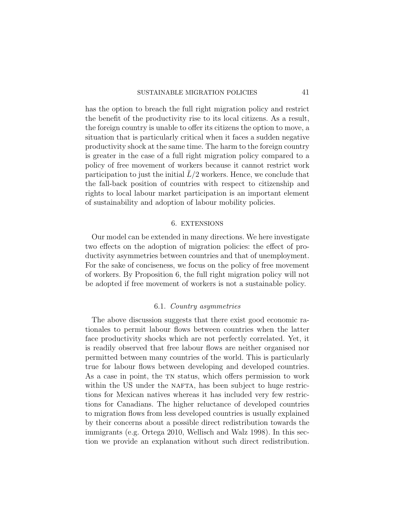has the option to breach the full right migration policy and restrict the benefit of the productivity rise to its local citizens. As a result, the foreign country is unable to offer its citizens the option to move, a situation that is particularly critical when it faces a sudden negative productivity shock at the same time. The harm to the foreign country is greater in the case of a full right migration policy compared to a policy of free movement of workers because it cannot restrict work participation to just the initial  $\bar{L}/2$  workers. Hence, we conclude that the fall-back position of countries with respect to citizenship and rights to local labour market participation is an important element of sustainability and adoption of labour mobility policies.

## 6. EXTENSIONS

Our model can be extended in many directions. We here investigate two effects on the adoption of migration policies: the effect of productivity asymmetries between countries and that of unemployment. For the sake of conciseness, we focus on the policy of free movement of workers. By Proposition [6,](#page-39-0) the full right migration policy will not be adopted if free movement of workers is not a sustainable policy.

## 6.1. Country asymmetries

The above discussion suggests that there exist good economic rationales to permit labour flows between countries when the latter face productivity shocks which are not perfectly correlated. Yet, it is readily observed that free labour flows are neither organised nor permitted between many countries of the world. This is particularly true for labour flows between developing and developed countries. As a case in point, the TN status, which offers permission to work within the US under the NAFTA, has been subject to huge restrictions for Mexican natives whereas it has included very few restrictions for Canadians. The higher reluctance of developed countries to migration flows from less developed countries is usually explained by their concerns about a possible direct redistribution towards the immigrants (e.g. [Ortega](#page-48-15) [2010,](#page-48-15) [Wellisch and Walz](#page-49-2) [1998\)](#page-49-2). In this section we provide an explanation without such direct redistribution.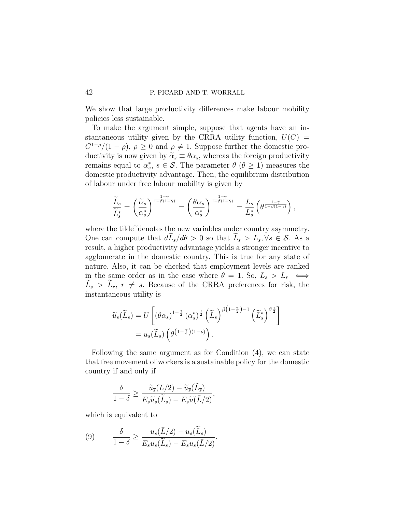We show that large productivity differences make labour mobility policies less sustainable.

To make the argument simple, suppose that agents have an instantaneous utility given by the CRRA utility function,  $U(C)$  =  $C^{1-\rho}/(1-\rho)$ ,  $\rho \geq 0$  and  $\rho \neq 1$ . Suppose further the domestic productivity is now given by  $\tilde{\alpha}_s \equiv \theta \alpha_s$ , whereas the foreign productivity remains equal to  $\alpha_s^*, s \in \mathcal{S}$ . The parameter  $\theta$  ( $\theta \geq 1$ ) measures the domestic productivity advantage. Then, the equilibrium distribution of labour under free labour mobility is given by

$$
\frac{\widetilde{L}_s}{\widetilde{L}_s^*} = \left(\frac{\widetilde{\alpha}_s}{\alpha_s^*}\right)^{\frac{1-\gamma}{1-\beta(1-\gamma)}} = \left(\frac{\theta\alpha_s}{\alpha_s^*}\right)^{\frac{1-\gamma}{1-\beta(1-\gamma)}} = \frac{L_s}{L_s^*} \left(\theta^{\frac{1-\gamma}{1-\beta(1-\gamma)}}\right),
$$

where the tilde<sup> $\tilde{c}$ </sup>denotes the new variables under country asymmetry. One can compute that  $d\tilde{L}_s/d\theta > 0$  so that  $\tilde{L}_s > L_s, \forall s \in \mathcal{S}$ . As a result, a higher productivity advantage yields a stronger incentive to agglomerate in the domestic country. This is true for any state of nature. Also, it can be checked that employment levels are ranked in the same order as in the case where  $\theta = 1$ . So,  $L_s > L_r \iff$  $L_s > L_r$ ,  $r \neq s$ . Because of the CRRA preferences for risk, the instantaneous utility is

$$
\widetilde{u}_s(\widetilde{L}_s) = U \left[ \left( \theta \alpha_s \right)^{1 - \frac{\gamma}{2}} \left( \alpha_s^* \right)^{\frac{\gamma}{2}} \left( \widetilde{L}_s \right)^{\beta \left( 1 - \frac{\gamma}{2} \right) - 1} \left( \widetilde{L}_s^* \right)^{\beta \frac{\gamma}{2}} \right]
$$
\n
$$
= u_s(\widetilde{L}_s) \left( \theta^{\left( 1 - \frac{\gamma}{2} \right)(1 - \rho)} \right).
$$

Following the same argument as for Condition [\(4\)](#page-23-1), we can state that free movement of workers is a sustainable policy for the domestic country if and only if

,

<span id="page-41-0"></span>
$$
\frac{\delta}{1-\delta} \ge \frac{\widetilde{u}_{\overline{s}}(\overline{L}/2) - \widetilde{u}_{\overline{s}}(\widetilde{L}_{\overline{s}})}{E_s \widetilde{u}_s(\widetilde{L}_s) - E_s \widetilde{u}(\overline{L}/2)}
$$

which is equivalent to

(9) 
$$
\frac{\delta}{1-\delta} \ge \frac{u_{\overline{s}}(\overline{L}/2) - u_{\overline{s}}(\overline{L}_{\overline{s}})}{E_s u_s(\overline{L}_s) - E_s u_s(\overline{L}/2)}.
$$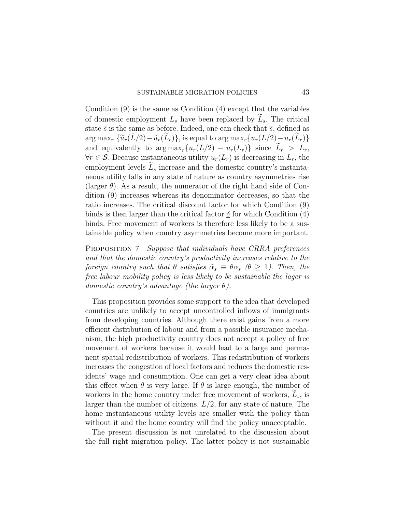Condition [\(9\)](#page-41-0) is the same as Condition [\(4\)](#page-23-1) except that the variables of domestic employment  $L<sub>s</sub>$  have been replaced by  $L<sub>s</sub>$ . The critical state  $\overline{s}$  is the same as before. Indeed, one can check that  $\overline{s}$ , defined as arg max<sub>r</sub>  $\{\widetilde{u}_r(L/2)-\widetilde{u}_r(L_r)\}\$ , is equal to arg max<sub>r</sub>  $\{u_r(L/2)-u_r(L_r)\}\$ and equivalently to  $\arg \max_r \{u_r(\bar{L}/2) - u_r(L_r)\}\$  since  $\widetilde{L}_r > L_r$ ,  $\forall r \in S$ . Because instantaneous utility  $u_r(L_r)$  is decreasing in  $L_r$ , the employment levels  $L<sub>s</sub>$  increase and the domestic country's instantaneous utility falls in any state of nature as country asymmetries rise (larger  $\theta$ ). As a result, the numerator of the right hand side of Condition [\(9\)](#page-41-0) increases whereas its denominator decreases, so that the ratio increases. The critical discount factor for which Condition [\(9\)](#page-41-0) binds is then larger than the critical factor  $\delta$  for which Condition [\(4\)](#page-23-1) binds. Free movement of workers is therefore less likely to be a sustainable policy when country asymmetries become more important.

PROPOSITION 7 Suppose that individuals have CRRA preferences and that the domestic country's productivity increases relative to the foreign country such that  $\theta$  satisfies  $\tilde{\alpha}_s \equiv \theta \alpha_s$  ( $\theta \geq 1$ ). Then, the free labour mobility policy is less likely to be sustainable the lager is domestic country's advantage (the larger  $\theta$ ).

This proposition provides some support to the idea that developed countries are unlikely to accept uncontrolled inflows of immigrants from developing countries. Although there exist gains from a more efficient distribution of labour and from a possible insurance mechanism, the high productivity country does not accept a policy of free movement of workers because it would lead to a large and permanent spatial redistribution of workers. This redistribution of workers increases the congestion of local factors and reduces the domestic residents' wage and consumption. One can get a very clear idea about this effect when  $\theta$  is very large. If  $\theta$  is large enough, the number of workers in the home country under free movement of workers,  $L_s$ , is larger than the number of citizens,  $L/2$ , for any state of nature. The home instantaneous utility levels are smaller with the policy than without it and the home country will find the policy unacceptable.

The present discussion is not unrelated to the discussion about the full right migration policy. The latter policy is not sustainable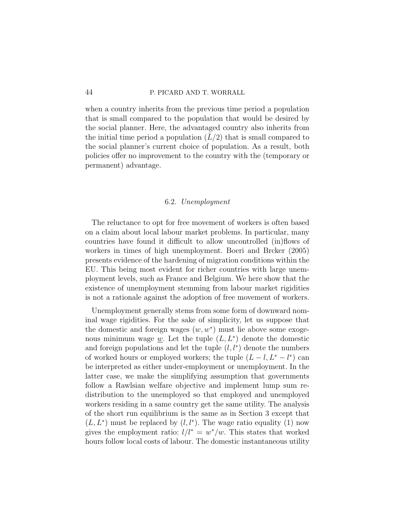when a country inherits from the previous time period a population that is small compared to the population that would be desired by the social planner. Here, the advantaged country also inherits from the initial time period a population  $(L/2)$  that is small compared to the social planner's current choice of population. As a result, both policies offer no improvement to the country with the (temporary or permanent) advantage.

## 6.2. Unemployment

The reluctance to opt for free movement of workers is often based on a claim about local labour market problems. In particular, many countries have found it difficult to allow uncontrolled (in)flows of workers in times of high unemployment. [Boeri and Brcker](#page-47-6) [\(2005\)](#page-47-6) presents evidence of the hardening of migration conditions within the EU. This being most evident for richer countries with large unemployment levels, such as France and Belgium. We here show that the existence of unemployment stemming from labour market rigidities is not a rationale against the adoption of free movement of workers.

Unemployment generally stems from some form of downward nominal wage rigidities. For the sake of simplicity, let us suppose that the domestic and foreign wages  $(w, w^*)$  must lie above some exogenous minimum wage  $\underline{w}$ . Let the tuple  $(L, L^*)$  denote the domestic and foreign populations and let the tuple  $(l, l^*)$  denote the numbers of worked hours or employed workers; the tuple  $(L - l, L^* - l^*)$  can be interpreted as either under-employment or unemployment. In the latter case, we make the simplifying assumption that governments follow a Rawlsian welfare objective and implement lump sum redistribution to the unemployed so that employed and unemployed workers residing in a same country get the same utility. The analysis of the short run equilibrium is the same as in Section 3 except that  $(L, L^*)$  must be replaced by  $(l, l^*)$ . The wage ratio equality [\(1\)](#page-12-0) now gives the employment ratio:  $l/l^* = w^*/w$ . This states that worked hours follow local costs of labour. The domestic instantaneous utility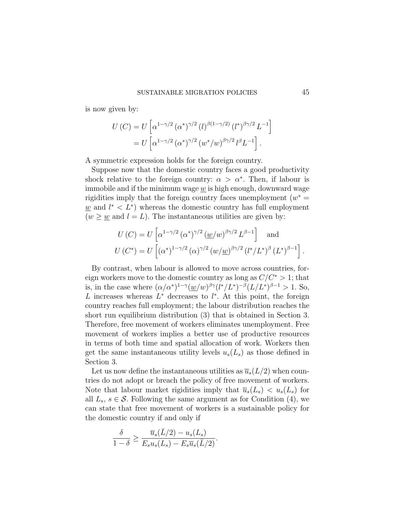is now given by:

$$
U(C) = U \left[ \alpha^{1 - \gamma/2} (\alpha^*)^{\gamma/2} (l)^{\beta(1 - \gamma/2)} (l^*)^{\beta \gamma/2} L^{-1} \right]
$$
  
= 
$$
U \left[ \alpha^{1 - \gamma/2} (\alpha^*)^{\gamma/2} (w^*/w)^{\beta \gamma/2} l^{\beta} L^{-1} \right].
$$

A symmetric expression holds for the foreign country.

Suppose now that the domestic country faces a good productivity shock relative to the foreign country:  $\alpha > \alpha^*$ . Then, if labour is immobile and if the minimum wage  $w$  is high enough, downward wage rigidities imply that the foreign country faces unemployment  $(w^* =$  $\underline{w}$  and  $l^* < L^*$ ) whereas the domestic country has full employment  $(w \geq w$  and  $l = L)$ . The instantaneous utilities are given by:

$$
U(C) = U\left[\alpha^{1-\gamma/2} (\alpha^*)^{\gamma/2} (\underline{w}/w)^{\beta\gamma/2} L^{\beta-1}\right] \text{ and}
$$
  
 
$$
U(C^*) = U\left[ (\alpha^*)^{1-\gamma/2} (\alpha)^{\gamma/2} (\underline{w}/\underline{w})^{\beta\gamma/2} (l^*/L^*)^{\beta} (L^*)^{\beta-1}\right].
$$

By contrast, when labour is allowed to move across countries, foreign workers move to the domestic country as long as  $C/C^* > 1$ ; that is, in the case where  $(\alpha/\alpha^*)^{1-\gamma}(\underline{w}/w)^{\beta\gamma}(l^*/L^*)^{-\beta}(L/L^*)^{\beta-1} > 1$ . So, L increases whereas  $L^*$  decreases to  $l^*$ . At this point, the foreign country reaches full employment; the labour distribution reaches the short run equilibrium distribution [\(3\)](#page-13-1) that is obtained in Section 3. Therefore, free movement of workers eliminates unemployment. Free movement of workers implies a better use of productive resources in terms of both time and spatial allocation of work. Workers then get the same instantaneous utility levels  $u_s(L_s)$  as those defined in Section 3.

Let us now define the instantaneous utilities as  $\overline{u}_s(L/2)$  when countries do not adopt or breach the policy of free movement of workers. Note that labour market rigidities imply that  $\overline{u}_s(L_s) < u_s(L_s)$  for all  $L_s$ ,  $s \in \mathcal{S}$ . Following the same argument as for Condition [\(4\)](#page-23-1), we can state that free movement of workers is a sustainable policy for the domestic country if and only if

$$
\frac{\delta}{1-\delta} \ge \frac{\overline{u}_s(\overline{L}/2) - u_s(L_s)}{E_s u_s(L_s) - E_s \overline{u}_s(\overline{L}/2)}.
$$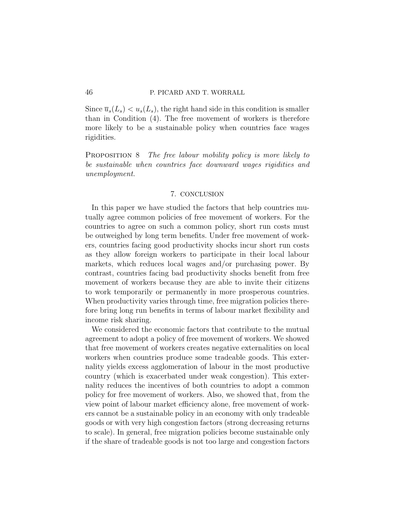Since  $\overline{u}_s(L_s) < u_s(L_s)$ , the right hand side in this condition is smaller than in Condition [\(4\)](#page-23-1). The free movement of workers is therefore more likely to be a sustainable policy when countries face wages rigidities.

PROPOSITION 8 The free labour mobility policy is more likely to be sustainable when countries face downward wages rigidities and unemployment.

## 7. CONCLUSION

In this paper we have studied the factors that help countries mutually agree common policies of free movement of workers. For the countries to agree on such a common policy, short run costs must be outweighed by long term benefits. Under free movement of workers, countries facing good productivity shocks incur short run costs as they allow foreign workers to participate in their local labour markets, which reduces local wages and/or purchasing power. By contrast, countries facing bad productivity shocks benefit from free movement of workers because they are able to invite their citizens to work temporarily or permanently in more prosperous countries. When productivity varies through time, free migration policies therefore bring long run benefits in terms of labour market flexibility and income risk sharing.

We considered the economic factors that contribute to the mutual agreement to adopt a policy of free movement of workers. We showed that free movement of workers creates negative externalities on local workers when countries produce some tradeable goods. This externality yields excess agglomeration of labour in the most productive country (which is exacerbated under weak congestion). This externality reduces the incentives of both countries to adopt a common policy for free movement of workers. Also, we showed that, from the view point of labour market efficiency alone, free movement of workers cannot be a sustainable policy in an economy with only tradeable goods or with very high congestion factors (strong decreasing returns to scale). In general, free migration policies become sustainable only if the share of tradeable goods is not too large and congestion factors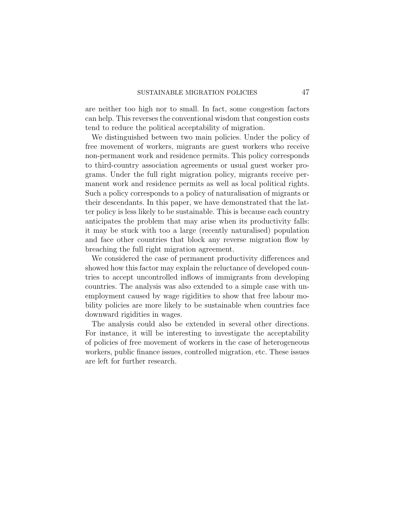are neither too high nor to small. In fact, some congestion factors can help. This reverses the conventional wisdom that congestion costs tend to reduce the political acceptability of migration.

We distinguished between two main policies. Under the policy of free movement of workers, migrants are guest workers who receive non-permanent work and residence permits. This policy corresponds to third-country association agreements or usual guest worker programs. Under the full right migration policy, migrants receive permanent work and residence permits as well as local political rights. Such a policy corresponds to a policy of naturalisation of migrants or their descendants. In this paper, we have demonstrated that the latter policy is less likely to be sustainable. This is because each country anticipates the problem that may arise when its productivity falls: it may be stuck with too a large (recently naturalised) population and face other countries that block any reverse migration flow by breaching the full right migration agreement.

We considered the case of permanent productivity differences and showed how this factor may explain the reluctance of developed countries to accept uncontrolled inflows of immigrants from developing countries. The analysis was also extended to a simple case with unemployment caused by wage rigidities to show that free labour mobility policies are more likely to be sustainable when countries face downward rigidities in wages.

The analysis could also be extended in several other directions. For instance, it will be interesting to investigate the acceptability of policies of free movement of workers in the case of heterogeneous workers, public finance issues, controlled migration, etc. These issues are left for further research.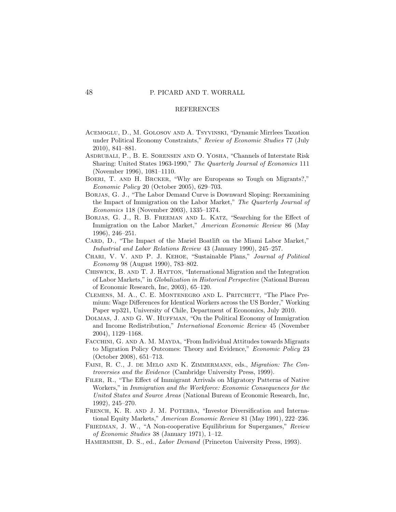#### REFERENCES

- <span id="page-47-1"></span>Acemoglu, D., M. Golosov and A. Tsyvinski, "Dynamic Mirrlees Taxation under Political Economy Constraints," Review of Economic Studies 77 (July 2010), 841–881.
- <span id="page-47-12"></span>Asdrubali, P., B. E. Sorensen and O. Yosha, "Channels of Interstate Risk Sharing: United States 1963-1990," The Quarterly Journal of Economics 111 (November 1996), 1081–1110.
- <span id="page-47-6"></span>Boeri, T. and H. Brcker, "Why are Europeans so Tough on Migrants?," Economic Policy 20 (October 2005), 629–703.
- <span id="page-47-3"></span>Borjas, G. J., "The Labor Demand Curve is Downward Sloping: Reexamining the Impact of Immigration on the Labor Market," The Quarterly Journal of Economics 118 (November 2003), 1335–1374.
- <span id="page-47-4"></span>Borjas, G. J., R. B. Freeman and L. Katz, "Searching for the Effect of Immigration on the Labor Market," American Economic Review 86 (May 1996), 246–251.
- <span id="page-47-5"></span>CARD, D., "The Impact of the Mariel Boatlift on the Miami Labor Market," Industrial and Labor Relations Review 43 (January 1990), 245–257.
- <span id="page-47-2"></span>Chari, V. V. and P. J. Kehoe, "Sustainable Plans," Journal of Political Economy 98 (August 1990), 783–802.
- <span id="page-47-9"></span>CHISWICK, B. AND T. J. HATTON, "International Migration and the Integration of Labor Markets," in Globalization in Historical Perspective (National Bureau of Economic Research, Inc, 2003), 65–120.
- <span id="page-47-0"></span>Clemens, M. A., C. E. Montenegro and L. Pritchett, "The Place Premium: Wage Differences for Identical Workers across the US Border," Working Paper wp321, University of Chile, Department of Economics, July 2010.
- <span id="page-47-11"></span>DOLMAS, J. AND G. W. HUFFMAN, "On the Political Economy of Immigration and Income Redistribution," International Economic Review 45 (November 2004), 1129–1168.
- <span id="page-47-10"></span>FACCHINI, G. AND A. M. MAYDA, "From Individual Attitudes towards Migrants to Migration Policy Outcomes: Theory and Evidence," Economic Policy 23 (October 2008), 651–713.
- <span id="page-47-7"></span>FAINI, R. C., J. DE MELO AND K. ZIMMERMANN, eds., Migration: The Controversies and the Evidence (Cambridge University Press, 1999).
- <span id="page-47-8"></span>Filer, R., "The Effect of Immigrant Arrivals on Migratory Patterns of Native Workers," in Immigration and the Workforce: Economic Consequences for the United States and Source Areas (National Bureau of Economic Research, Inc. 1992), 245–270.
- <span id="page-47-13"></span>FRENCH, K. R. AND J. M. POTERBA, "Investor Diversification and International Equity Markets," American Economic Review 81 (May 1991), 222–236.
- <span id="page-47-15"></span>FRIEDMAN, J. W., "A Non-cooperative Equilibrium for Supergames," Review of Economic Studies 38 (January 1971), 1–12.
- <span id="page-47-14"></span>HAMERMESH, D. S., ed., *Labor Demand* (Princeton University Press, 1993).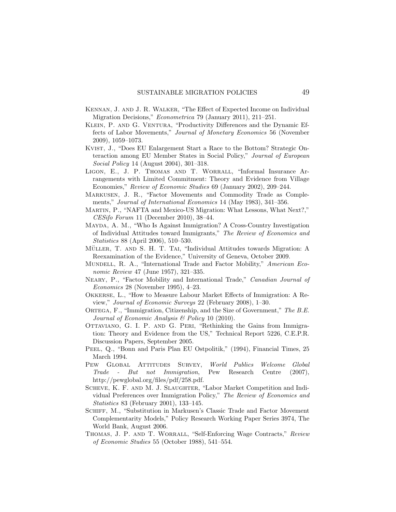- <span id="page-48-17"></span>Kennan, J. and J. R. Walker, "The Effect of Expected Income on Individual Migration Decisions," Econometrica 79 (January 2011), 211–251.
- <span id="page-48-0"></span>KLEIN, P. AND G. VENTURA, "Productivity Differences and the Dynamic Effects of Labor Movements," Journal of Monetary Economics 56 (November 2009), 1059–1073.
- <span id="page-48-7"></span>Kvist, J., "Does EU Enlargement Start a Race to the Bottom? Strategic Onteraction among EU Member States in Social Policy," Journal of European Social Policy 14 (August 2004), 301–318.
- <span id="page-48-2"></span>Ligon, E., J. P. Thomas and T. Worrall, "Informal Insurance Arrangements with Limited Commitment: Theory and Evidence from Village Economies," Review of Economic Studies 69 (January 2002), 209–244.
- <span id="page-48-11"></span>Markusen, J. R., "Factor Movements and Commodity Trade as Complements," Journal of International Economics 14 (May 1983), 341–356.
- <span id="page-48-16"></span>Martin, P., "NAFTA and Mexico-US Migration: What Lessons, What Next?," CESifo Forum 11 (December 2010), 38–44.
- <span id="page-48-6"></span>Mayda, A. M., "Who Is Against Immigration? A Cross-Country Investigation of Individual Attitudes toward Immigrants," The Review of Economics and Statistics 88 (April 2006), 510–530.
- <span id="page-48-10"></span>MÜLLER, T. AND S. H. T. TAI, "Individual Attitudes towards Migration: A Reexamination of the Evidence," University of Geneva, October 2009.
- <span id="page-48-8"></span>MUNDELL, R. A., "International Trade and Factor Mobility," American Economic Review 47 (June 1957), 321–335.
- <span id="page-48-12"></span>NEARY, P., "Factor Mobility and International Trade," Canadian Journal of Economics 28 (November 1995), 4–23.
- <span id="page-48-4"></span>Okkerse, L., "How to Measure Labour Market Effects of Immigration: A Review," Journal of Economic Surveys 22 (February 2008), 1–30.
- <span id="page-48-15"></span>ORTEGA, F., "Immigration, Citizenship, and the Size of Government," The B.E. Journal of Economic Analysis & Policy 10 (2010).
- <span id="page-48-3"></span>Ottaviano, G. I. P. and G. Peri, "Rethinking the Gains from Immigration: Theory and Evidence from the US," Technical Report 5226, C.E.P.R. Discussion Papers, September 2005.
- <span id="page-48-14"></span>PEEL, Q., "Bonn and Paris Plan EU Ostpolitik," (1994), Financial Times, 25 March 1994.
- <span id="page-48-9"></span>Pew Global Attitudes Survey, World Publics Welcome Global Trade - But not Immigration, Pew Research Centre (2007), http://pewglobal.org/files/pdf/258.pdf.
- <span id="page-48-5"></span>SCHEVE, K. F. AND M. J. SLAUGHTER, "Labor Market Competition and Individual Preferences over Immigration Policy," The Review of Economics and Statistics 83 (February 2001), 133–145.
- <span id="page-48-13"></span>Schiff, M., "Substitution in Markusen's Classic Trade and Factor Movement Complementarity Models," Policy Research Working Paper Series 3974, The World Bank, August 2006.
- <span id="page-48-1"></span>THOMAS, J. P. AND T. WORRALL, "Self-Enforcing Wage Contracts," Review of Economic Studies 55 (October 1988), 541–554.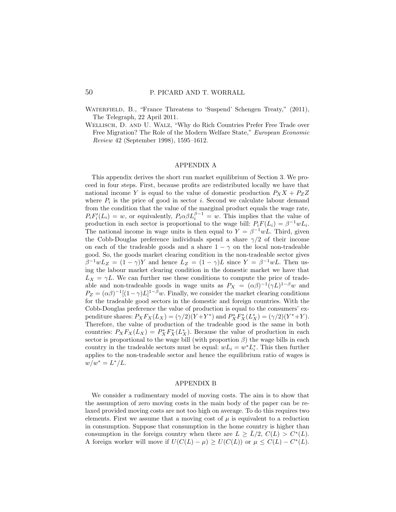WATERFIELD, B., "France Threatens to 'Suspend' Schengen Treaty," (2011), The Telegraph, 22 April 2011.

<span id="page-49-2"></span>Wellisch, D. and U. Walz, "Why do Rich Countries Prefer Free Trade over Free Migration? The Role of the Modern Welfare State," European Economic Review 42 (September 1998), 1595–1612.

#### APPENDIX A

<span id="page-49-0"></span>This appendix derives the short run market equilibrium of Section 3. We proceed in four steps. First, because profits are redistributed locally we have that national income Y is equal to the value of domestic production  $P_X X + P_Z Z$ where  $P_i$  is the price of good in sector *i*. Second we calculate labour demand from the condition that the value of the marginal product equals the wage rate,  $P_i F_i'(L_i) = w$ , or equivalently,  $P_i \alpha \beta L_i^{\beta-1} = w$ . This implies that the value of production in each sector is proportional to the wage bill:  $P_i F(L_i) = \beta^{-1} w L_i$ . The national income in wage units is then equal to  $Y = \beta^{-1} w L$ . Third, given the Cobb-Douglas preference individuals spend a share  $\gamma/2$  of their income on each of the tradeable goods and a share  $1 - \gamma$  on the local non-tradeable good. So, the goods market clearing condition in the non-tradeable sector gives  $\beta^{-1}wL_Z = (1 - \gamma)Y$  and hence  $L_Z = (1 - \gamma)L$  since  $Y = \beta^{-1}wL$ . Then using the labour market clearing condition in the domestic market we have that  $L_X = \gamma L$ . We can further use these conditions to compute the price of tradeable and non-tradeable goods in wage units as  $P_X = (\alpha \beta)^{-1} (\gamma L)^{1-\beta} w$  and  $P_Z = (\alpha \beta)^{-1} [(1 - \gamma)L]^{1-\beta} w$ . Finally, we consider the market clearing conditions for the tradeable good sectors in the domestic and foreign countries. With the Cobb-Douglas preference the value of production is equal to the consumers' expenditure shares:  $P_X F_X(L_X) = (\gamma/2)(Y+Y^*)$  and  $P_X^* F_X^*(L_X^*) = (\gamma/2)(Y^*+Y)$ . Therefore, the value of production of the tradeable good is the same in both countries:  $P_X F_X(L_X) = P_X^* F_X^*(L_X^*)$ . Because the value of production in each sector is proportional to the wage bill (with proportion  $\beta$ ) the wage bills in each country in the tradeable sectors must be equal:  $wL_i = w^* L_i^*$ . This then further applies to the non-tradeable sector and hence the equilibrium ratio of wages is  $w/w^* = L^* / L.$ 

#### APPENDIX B

<span id="page-49-1"></span>We consider a rudimentary model of moving costs. The aim is to show that the assumption of zero moving costs in the main body of the paper can be relaxed provided moving costs are not too high on average. To do this requires two elements. First we assume that a moving cost of  $\mu$  is equivalent to a reduction in consumption. Suppose that consumption in the home country is higher than consumption in the foreign country when there are  $L \geq \overline{L}/2$ ,  $C(L) > C^*(L)$ . A foreign worker will move if  $U(C(L) - \mu) \geq U(C(L))$  or  $\mu \leq C(L) - C^{*}(L)$ .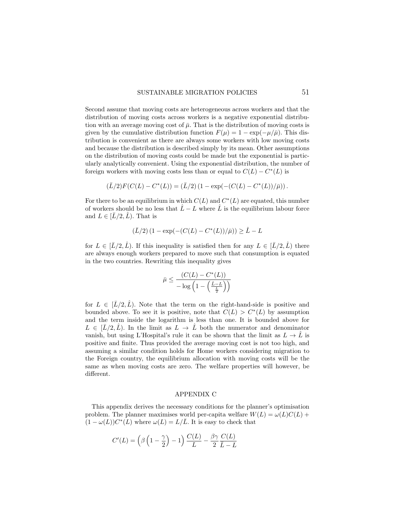Second assume that moving costs are heterogeneous across workers and that the distribution of moving costs across workers is a negative exponential distribution with an average moving cost of  $\bar{\mu}$ . That is the distribution of moving costs is given by the cumulative distribution function  $F(\mu) = 1 - \exp(-\mu/\bar{\mu})$ . This distribution is convenient as there are always some workers with low moving costs and because the distribution is described simply by its mean. Other assumptions on the distribution of moving costs could be made but the exponential is particularly analytically convenient. Using the exponential distribution, the number of foreign workers with moving costs less than or equal to  $C(L) - C<sup>*</sup>(L)$  is

$$
(\bar{L}/2)F(C(L) - C^{*}(L)) = (\bar{L}/2) (1 - \exp(-(C(L) - C^{*}(L))/\bar{\mu})) .
$$

For there to be an equilibrium in which  $C(L)$  and  $C<sup>*</sup>(L)$  are equated, this number of workers should be no less that  $\hat{L} - L$  where  $\hat{L}$  is the equilibrium labour force and  $L \in [\bar{L}/2, \hat{L})$ . That is

$$
(\bar{L}/2) (1 - \exp(-(C(L) - C^*(L))/\bar{\mu})) \ge \hat{L} - L
$$

for  $L \in [\bar{L}/2, \hat{L})$ . If this inequality is satisfied then for any  $L \in [\bar{L}/2, \hat{L})$  there are always enough workers prepared to move such that consumption is equated in the two countries. Rewriting this inequality gives

$$
\bar{\mu} \le \frac{(C(L) - C^*(L))}{-\log\left(1 - \left(\frac{\hat{L} - L}{\frac{\hat{L}}{2}}\right)\right)}
$$

for  $L \in [L/2, \hat{L})$ . Note that the term on the right-hand-side is positive and bounded above. To see it is positive, note that  $C(L) > C<sup>*</sup>(L)$  by assumption and the term inside the logarithm is less than one. It is bounded above for  $L \in [\bar{L}/2, \bar{L})$ . In the limit as  $L \to \bar{L}$  both the numerator and denominator vanish, but using L'Hospital's rule it can be shown that the limit as  $L \to \hat{L}$  is positive and finite. Thus provided the average moving cost is not too high, and assuming a similar condition holds for Home workers considering migration to the Foreign country, the equilibrium allocation with moving costs will be the same as when moving costs are zero. The welfare properties will however, be different.

### APPENDIX C

<span id="page-50-0"></span>This appendix derives the necessary conditions for the planner's optimisation problem. The planner maximises world per-capita welfare  $W(L) = \omega(L)C(L) +$  $(1 - \omega(L))C^*(L)$  where  $\omega(L) = L/\overline{L}$ . It is easy to check that

$$
C'(L) = \left(\beta \left(1 - \frac{\gamma}{2}\right) - 1\right) \frac{C(L)}{L} - \frac{\beta \gamma}{2} \frac{C(L)}{\bar{L} - L}
$$